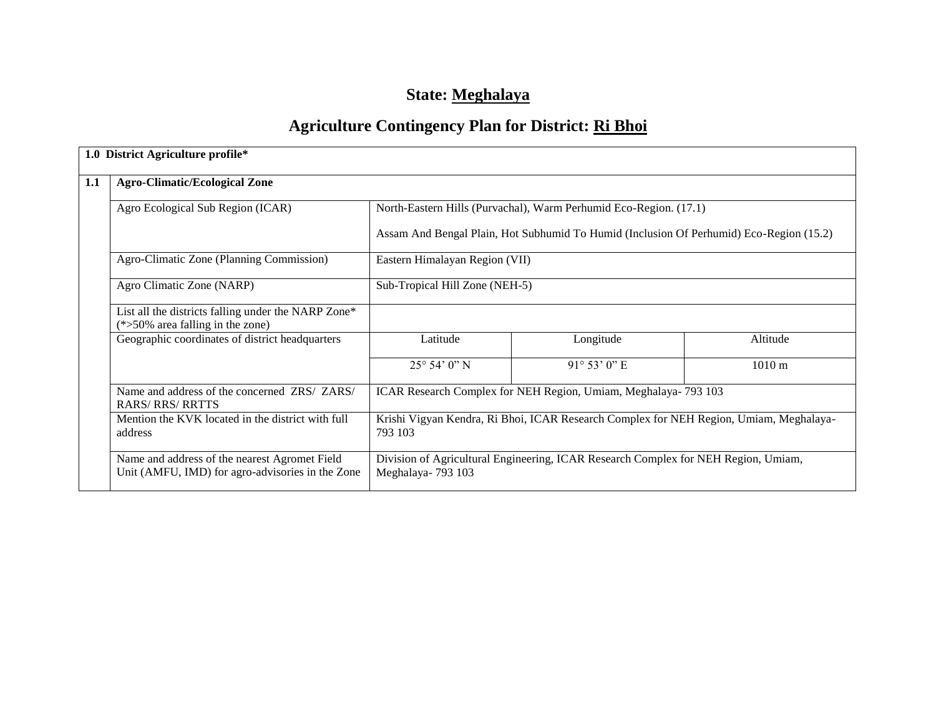# **State: Meghalaya**

# **Agriculture Contingency Plan for District: Ri Bhoi**

|     | 1.0 District Agriculture profile*                                                                 |                                                                                                   |                                                                                         |                  |  |  |
|-----|---------------------------------------------------------------------------------------------------|---------------------------------------------------------------------------------------------------|-----------------------------------------------------------------------------------------|------------------|--|--|
| 1.1 | <b>Agro-Climatic/Ecological Zone</b>                                                              |                                                                                                   |                                                                                         |                  |  |  |
|     | Agro Ecological Sub Region (ICAR)                                                                 |                                                                                                   | North-Eastern Hills (Purvachal), Warm Perhumid Eco-Region. (17.1)                       |                  |  |  |
|     |                                                                                                   |                                                                                                   | Assam And Bengal Plain, Hot Subhumid To Humid (Inclusion Of Perhumid) Eco-Region (15.2) |                  |  |  |
|     | Agro-Climatic Zone (Planning Commission)                                                          | Eastern Himalayan Region (VII)                                                                    |                                                                                         |                  |  |  |
|     | Agro Climatic Zone (NARP)                                                                         | Sub-Tropical Hill Zone (NEH-5)                                                                    |                                                                                         |                  |  |  |
|     | List all the districts falling under the NARP Zone*<br>$(*>50\%$ area falling in the zone)        |                                                                                                   |                                                                                         |                  |  |  |
|     | Geographic coordinates of district headquarters                                                   | Latitude                                                                                          | Longitude                                                                               | Altitude         |  |  |
|     |                                                                                                   | $25^{\circ} 54' 0'' N$                                                                            | $91^{\circ} 53' 0''$ E                                                                  | $1010 \text{ m}$ |  |  |
|     | Name and address of the concerned ZRS/ ZARS/<br><b>RARS/ RRS/ RRTTS</b>                           |                                                                                                   | ICAR Research Complex for NEH Region, Umiam, Meghalaya- 793 103                         |                  |  |  |
|     | Mention the KVK located in the district with full<br>address                                      | Krishi Vigyan Kendra, Ri Bhoi, ICAR Research Complex for NEH Region, Umiam, Meghalaya-<br>793 103 |                                                                                         |                  |  |  |
|     | Name and address of the nearest Agromet Field<br>Unit (AMFU, IMD) for agro-advisories in the Zone | Meghalaya-793 103                                                                                 | Division of Agricultural Engineering, ICAR Research Complex for NEH Region, Umiam,      |                  |  |  |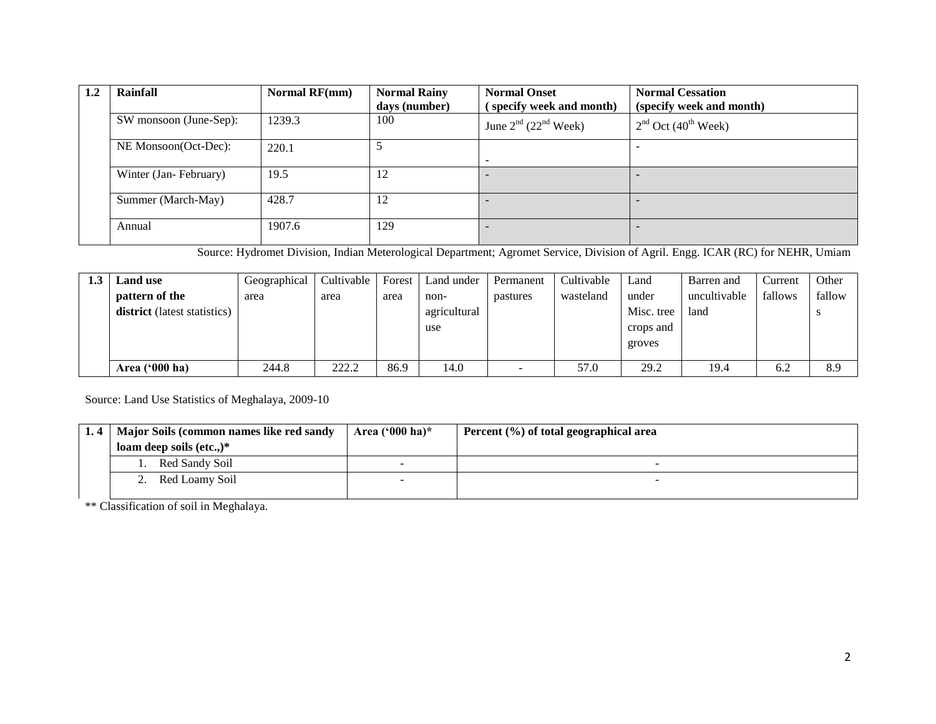| 1.2 | Rainfall               | Normal RF(mm) | <b>Normal Rainy</b><br>days (number) | <b>Normal Onset</b><br>(specify week and month) | <b>Normal Cessation</b><br>(specify week and month) |
|-----|------------------------|---------------|--------------------------------------|-------------------------------------------------|-----------------------------------------------------|
|     | SW monsoon (June-Sep): | 1239.3        | 100                                  | June $2^{nd}$ (22 <sup>nd</sup> Week)           | $2nd$ Oct (40 <sup>th</sup> Week)                   |
|     | NE Monsoon(Oct-Dec):   | 220.1         |                                      | -                                               |                                                     |
|     | Winter (Jan-February)  | 19.5          | 12                                   |                                                 |                                                     |
|     | Summer (March-May)     | 428.7         | 12                                   |                                                 |                                                     |
|     | Annual                 | 1907.6        | 129                                  |                                                 |                                                     |

Source: Hydromet Division, Indian Meterological Department; Agromet Service, Division of Agril. Engg. ICAR (RC) for NEHR, Umiam

| <b>Land</b> use                     | Geographical | Cultivable | Forest | Land under   | Permanent                | Cultivable | Land       | Barren and   | Current | Other  |
|-------------------------------------|--------------|------------|--------|--------------|--------------------------|------------|------------|--------------|---------|--------|
| pattern of the                      | area         | area       | area   | non-         | pastures                 | wasteland  | under      | uncultivable | fallows | fallow |
| <b>district</b> (latest statistics) |              |            |        | agricultural |                          |            | Misc. tree | land         |         |        |
|                                     |              |            |        | use          |                          |            | crops and  |              |         |        |
|                                     |              |            |        |              |                          |            | groves     |              |         |        |
|                                     |              |            |        |              |                          |            |            |              |         |        |
| Area $(900 \text{ ha})$             | 244.8        | 222.2      | 86.9   | 14.0         | $\overline{\phantom{0}}$ | 57.0       | 29.2       | 19.4         | 6.2     | 8.9    |

Source: Land Use Statistics of Meghalaya, 2009-10

| 1.4   Major Soils (common names like red sandy | Area $(^{6}000$ ha)* | Percent (%) of total geographical area |  |  |  |  |
|------------------------------------------------|----------------------|----------------------------------------|--|--|--|--|
| loam deep soils $(\text{etc.})^*$              |                      |                                        |  |  |  |  |
| Red Sandy Soil                                 |                      |                                        |  |  |  |  |
| 2. Red Loamy Soil                              |                      |                                        |  |  |  |  |
|                                                |                      |                                        |  |  |  |  |

\*\* Classification of soil in Meghalaya.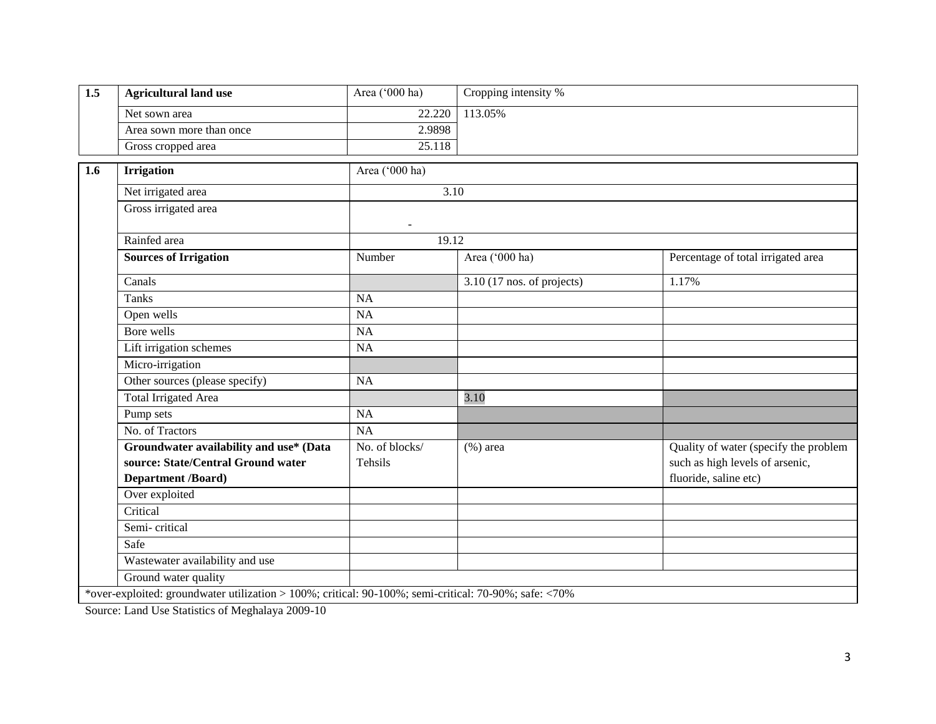| 1.5 | <b>Agricultural land use</b>            | Area ('000 ha) | Cropping intensity %         |                                       |  |  |  |  |
|-----|-----------------------------------------|----------------|------------------------------|---------------------------------------|--|--|--|--|
|     | Net sown area                           | 22.220         | 113.05%                      |                                       |  |  |  |  |
|     | Area sown more than once                | 2.9898         |                              |                                       |  |  |  |  |
|     | Gross cropped area                      | 25.118         |                              |                                       |  |  |  |  |
| 1.6 | <b>Irrigation</b>                       | Area ('000 ha) |                              |                                       |  |  |  |  |
|     | Net irrigated area                      |                | 3.10                         |                                       |  |  |  |  |
|     | Gross irrigated area                    | $\blacksquare$ |                              |                                       |  |  |  |  |
|     | Rainfed area                            | 19.12          |                              |                                       |  |  |  |  |
|     | <b>Sources of Irrigation</b>            | Number         | Area ('000 ha)               | Percentage of total irrigated area    |  |  |  |  |
|     | Canals                                  |                | $3.10$ (17 nos. of projects) | 1.17%                                 |  |  |  |  |
|     | <b>Tanks</b>                            | NA             |                              |                                       |  |  |  |  |
|     | Open wells                              | NA             |                              |                                       |  |  |  |  |
|     | Bore wells                              | NA             |                              |                                       |  |  |  |  |
|     | Lift irrigation schemes                 | <b>NA</b>      |                              |                                       |  |  |  |  |
|     | Micro-irrigation                        |                |                              |                                       |  |  |  |  |
|     | Other sources (please specify)          | <b>NA</b>      |                              |                                       |  |  |  |  |
|     | <b>Total Irrigated Area</b>             |                | 3.10                         |                                       |  |  |  |  |
|     | Pump sets                               | NA             |                              |                                       |  |  |  |  |
|     | No. of Tractors                         | NA             |                              |                                       |  |  |  |  |
|     | Groundwater availability and use* (Data | No. of blocks/ | $(\% )$ area                 | Quality of water (specify the problem |  |  |  |  |
|     | source: State/Central Ground water      | Tehsils        |                              | such as high levels of arsenic,       |  |  |  |  |
|     | <b>Department /Board)</b>               |                |                              | fluoride, saline etc)                 |  |  |  |  |
|     | Over exploited                          |                |                              |                                       |  |  |  |  |
|     | Critical                                |                |                              |                                       |  |  |  |  |
|     | Semi-critical                           |                |                              |                                       |  |  |  |  |
|     | Safe                                    |                |                              |                                       |  |  |  |  |
|     | Wastewater availability and use         |                |                              |                                       |  |  |  |  |
|     | Ground water quality                    |                |                              |                                       |  |  |  |  |

Source: Land Use Statistics of Meghalaya 2009-10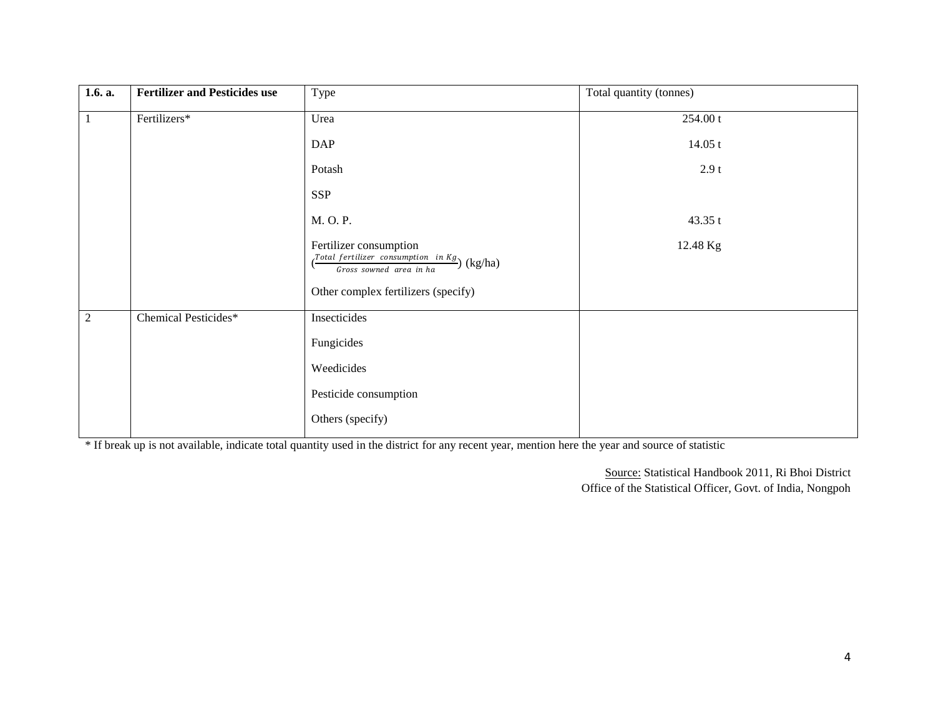| 1.6. a.        | <b>Fertilizer and Pesticides use</b> | Type                                                                                                                                              | Total quantity (tonnes) |
|----------------|--------------------------------------|---------------------------------------------------------------------------------------------------------------------------------------------------|-------------------------|
| $\mathbf{1}$   | Fertilizers*                         | Urea                                                                                                                                              | 254.00 t                |
|                |                                      | <b>DAP</b>                                                                                                                                        | 14.05 t                 |
|                |                                      | Potash                                                                                                                                            | 2.9t                    |
|                |                                      | <b>SSP</b>                                                                                                                                        |                         |
|                |                                      | M. O. P.                                                                                                                                          | 43.35 t                 |
|                |                                      | Fertilizer consumption<br>$\left(\frac{Total \; fertilizer \;\; consumption \;\; in \; Kg}{Gross \;sound \;\; area \;\; in \; ha}\right)$ (kg/ha) | 12.48 Kg                |
|                |                                      | Other complex fertilizers (specify)                                                                                                               |                         |
| $\overline{2}$ | Chemical Pesticides*                 | Insecticides                                                                                                                                      |                         |
|                |                                      | Fungicides                                                                                                                                        |                         |
|                |                                      | Weedicides                                                                                                                                        |                         |
|                |                                      | Pesticide consumption                                                                                                                             |                         |
|                |                                      | Others (specify)                                                                                                                                  |                         |

\* If break up is not available, indicate total quantity used in the district for any recent year, mention here the year and source of statistic

Source: Statistical Handbook 2011, Ri Bhoi District Office of the Statistical Officer, Govt. of India, Nongpoh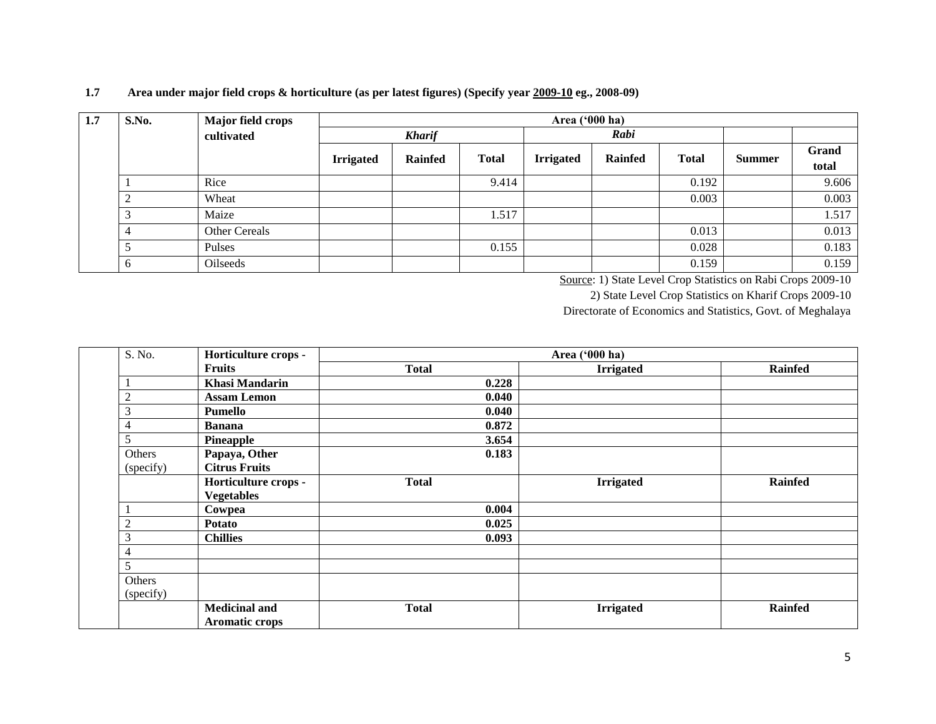#### **1.7 Area under major field crops & horticulture (as per latest figures) (Specify year 2009-10 eg., 2008-09)**

| 1.7 | S.No.              | Major field crops |                  | Area $(900 \text{ ha})$ |              |                  |                |              |        |       |  |
|-----|--------------------|-------------------|------------------|-------------------------|--------------|------------------|----------------|--------------|--------|-------|--|
|     |                    | cultivated        |                  | <b>Kharif</b>           |              | Rabi             |                |              |        |       |  |
|     |                    |                   | <b>Irrigated</b> | <b>Rainfed</b>          | <b>Total</b> | <b>Irrigated</b> | <b>Rainfed</b> | <b>Total</b> | Summer | Grand |  |
|     |                    |                   |                  |                         |              |                  |                |              |        | total |  |
|     |                    | Rice              |                  |                         | 9.414        |                  |                | 0.192        |        | 9.606 |  |
|     | $\mathcal{D}$<br>∠ | Wheat             |                  |                         |              |                  |                | 0.003        |        | 0.003 |  |
|     | 3                  | Maize             |                  |                         | 1.517        |                  |                |              |        | 1.517 |  |
|     | $\overline{4}$     | Other Cereals     |                  |                         |              |                  |                | 0.013        |        | 0.013 |  |
|     | 5                  | Pulses            |                  |                         | 0.155        |                  |                | 0.028        |        | 0.183 |  |
|     | 6                  | Oilseeds          |                  |                         |              |                  |                | 0.159        |        | 0.159 |  |

Source: 1) State Level Crop Statistics on Rabi Crops 2009-10

2) State Level Crop Statistics on Kharif Crops 2009-10

Directorate of Economics and Statistics, Govt. of Meghalaya

| S. No.         | Horticulture crops -  | Area ('000 ha) |                  |                |  |  |  |  |
|----------------|-----------------------|----------------|------------------|----------------|--|--|--|--|
|                | <b>Fruits</b>         | <b>Total</b>   | <b>Irrigated</b> | <b>Rainfed</b> |  |  |  |  |
|                | <b>Khasi Mandarin</b> | 0.228          |                  |                |  |  |  |  |
| $\overline{c}$ | <b>Assam Lemon</b>    | 0.040          |                  |                |  |  |  |  |
| 3              | Pumello               | 0.040          |                  |                |  |  |  |  |
| 4              | <b>Banana</b>         | 0.872          |                  |                |  |  |  |  |
| 5              | Pineapple             | 3.654          |                  |                |  |  |  |  |
| Others         | Papaya, Other         | 0.183          |                  |                |  |  |  |  |
| (specify)      | <b>Citrus Fruits</b>  |                |                  |                |  |  |  |  |
|                | Horticulture crops -  | <b>Total</b>   | <b>Irrigated</b> | <b>Rainfed</b> |  |  |  |  |
|                | <b>Vegetables</b>     |                |                  |                |  |  |  |  |
|                | Cowpea                | 0.004          |                  |                |  |  |  |  |
| 2              | <b>Potato</b>         | 0.025          |                  |                |  |  |  |  |
| 3              | <b>Chillies</b>       | 0.093          |                  |                |  |  |  |  |
| 4              |                       |                |                  |                |  |  |  |  |
| 5              |                       |                |                  |                |  |  |  |  |
| Others         |                       |                |                  |                |  |  |  |  |
| (specify)      |                       |                |                  |                |  |  |  |  |
|                | <b>Medicinal and</b>  | <b>Total</b>   | <b>Irrigated</b> | <b>Rainfed</b> |  |  |  |  |
|                | <b>Aromatic crops</b> |                |                  |                |  |  |  |  |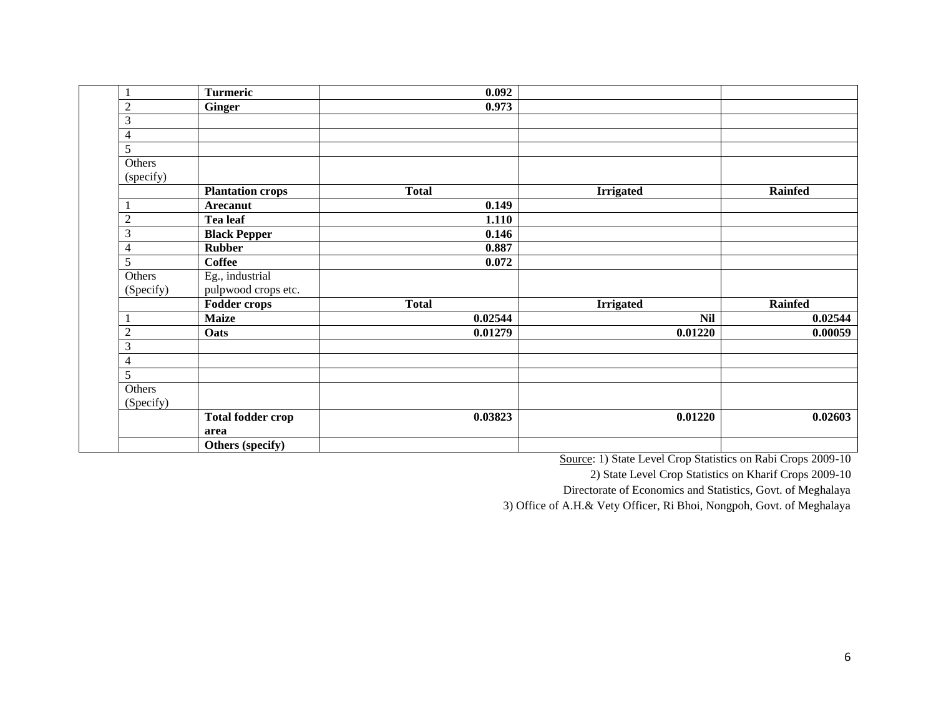| $\mathbf{1}$        | <b>Turmeric</b>                        | 0.092        |                  |                |
|---------------------|----------------------------------------|--------------|------------------|----------------|
| $\overline{c}$      | <b>Ginger</b>                          | 0.973        |                  |                |
| 3                   |                                        |              |                  |                |
| $\overline{4}$      |                                        |              |                  |                |
| 5                   |                                        |              |                  |                |
| Others<br>(specify) |                                        |              |                  |                |
|                     | <b>Plantation crops</b>                | <b>Total</b> | <b>Irrigated</b> | <b>Rainfed</b> |
| 1                   | Arecanut                               | 0.149        |                  |                |
| $\overline{2}$      | Tea leaf                               | 1.110        |                  |                |
| $\mathfrak{Z}$      | <b>Black Pepper</b>                    | 0.146        |                  |                |
| $\overline{4}$      | <b>Rubber</b>                          | 0.887        |                  |                |
| 5                   | <b>Coffee</b>                          | 0.072        |                  |                |
| Others<br>(Specify) | Eg., industrial<br>pulpwood crops etc. |              |                  |                |
|                     | <b>Fodder crops</b>                    | <b>Total</b> | <b>Irrigated</b> | <b>Rainfed</b> |
|                     | <b>Maize</b>                           | 0.02544      | <b>Nil</b>       | 0.02544        |
| $\overline{c}$      | Oats                                   | 0.01279      | 0.01220          | 0.00059        |
| $\mathfrak{Z}$      |                                        |              |                  |                |
| $\overline{4}$      |                                        |              |                  |                |
| 5                   |                                        |              |                  |                |
| Others<br>(Specify) |                                        |              |                  |                |
|                     | <b>Total fodder crop</b><br>area       | 0.03823      | 0.01220          | 0.02603        |
|                     | Others (specify)                       |              |                  |                |

Source: 1) State Level Crop Statistics on Rabi Crops 2009-10

2) State Level Crop Statistics on Kharif Crops 2009-10

Directorate of Economics and Statistics, Govt. of Meghalaya

3) Office of A.H.& Vety Officer, Ri Bhoi, Nongpoh, Govt. of Meghalaya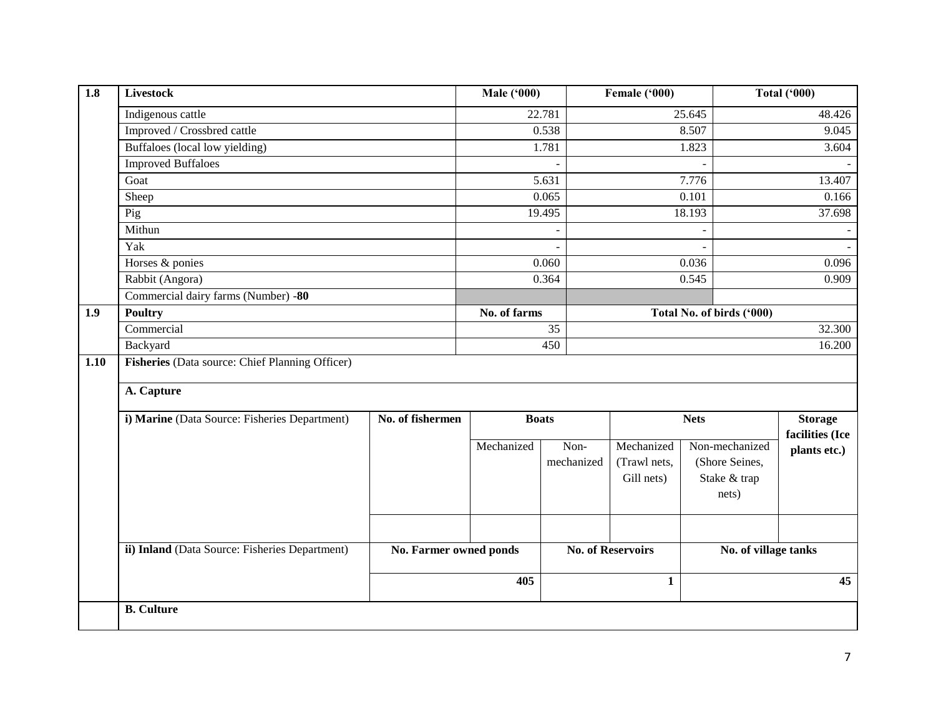| $\overline{1.8}$ | <b>Livestock</b>                                |                               | <b>Male ('000)</b> |                    | Female ('000)                            |                                                           | <b>Total ('000)</b>               |  |
|------------------|-------------------------------------------------|-------------------------------|--------------------|--------------------|------------------------------------------|-----------------------------------------------------------|-----------------------------------|--|
|                  | Indigenous cattle                               |                               |                    | 22.781             |                                          | 25.645                                                    | 48.426                            |  |
|                  | Improved / Crossbred cattle                     |                               |                    | 0.538              |                                          | 8.507                                                     | 9.045                             |  |
|                  | Buffaloes (local low yielding)                  |                               |                    | 1.781              |                                          | 1.823                                                     | 3.604                             |  |
|                  | <b>Improved Buffaloes</b>                       |                               |                    |                    |                                          |                                                           |                                   |  |
|                  | Goat                                            |                               |                    | 5.631              |                                          | 7.776                                                     | 13.407                            |  |
|                  | Sheep                                           |                               |                    | 0.065              |                                          | 0.101                                                     | 0.166                             |  |
|                  | Pig                                             |                               |                    | 19.495             |                                          | 18.193                                                    | 37.698                            |  |
|                  | Mithun                                          |                               |                    |                    |                                          |                                                           |                                   |  |
|                  | Yak                                             |                               |                    | $\overline{a}$     |                                          | $\blacksquare$                                            |                                   |  |
|                  | Horses & ponies                                 |                               |                    | 0.060              |                                          | 0.036                                                     | 0.096                             |  |
|                  | Rabbit (Angora)                                 |                               |                    | 0.364              |                                          | 0.545                                                     | 0.909                             |  |
|                  | Commercial dairy farms (Number) -80             |                               |                    |                    |                                          |                                                           |                                   |  |
| 1.9              | <b>Poultry</b>                                  |                               | No. of farms       |                    | Total No. of birds ('000)                |                                                           |                                   |  |
|                  | Commercial                                      |                               |                    | $\overline{35}$    |                                          |                                                           | 32.300                            |  |
|                  | Backyard                                        |                               |                    | 450                |                                          |                                                           |                                   |  |
| 1.10             | Fisheries (Data source: Chief Planning Officer) |                               |                    |                    |                                          |                                                           |                                   |  |
|                  | A. Capture                                      |                               |                    |                    |                                          |                                                           |                                   |  |
|                  | i) Marine (Data Source: Fisheries Department)   | No. of fishermen              |                    | <b>Boats</b>       | <b>Nets</b>                              |                                                           | <b>Storage</b><br>facilities (Ice |  |
|                  |                                                 |                               | Mechanized         | Non-<br>mechanized | Mechanized<br>(Trawl nets,<br>Gill nets) | Non-mechanized<br>(Shore Seines,<br>Stake & trap<br>nets) | plants etc.)                      |  |
|                  | ii) Inland (Data Source: Fisheries Department)  | No. Farmer owned ponds<br>405 |                    |                    | <b>No. of Reservoirs</b><br>$\mathbf{1}$ | No. of village tanks<br>45                                |                                   |  |
|                  | <b>B.</b> Culture                               |                               |                    |                    |                                          |                                                           |                                   |  |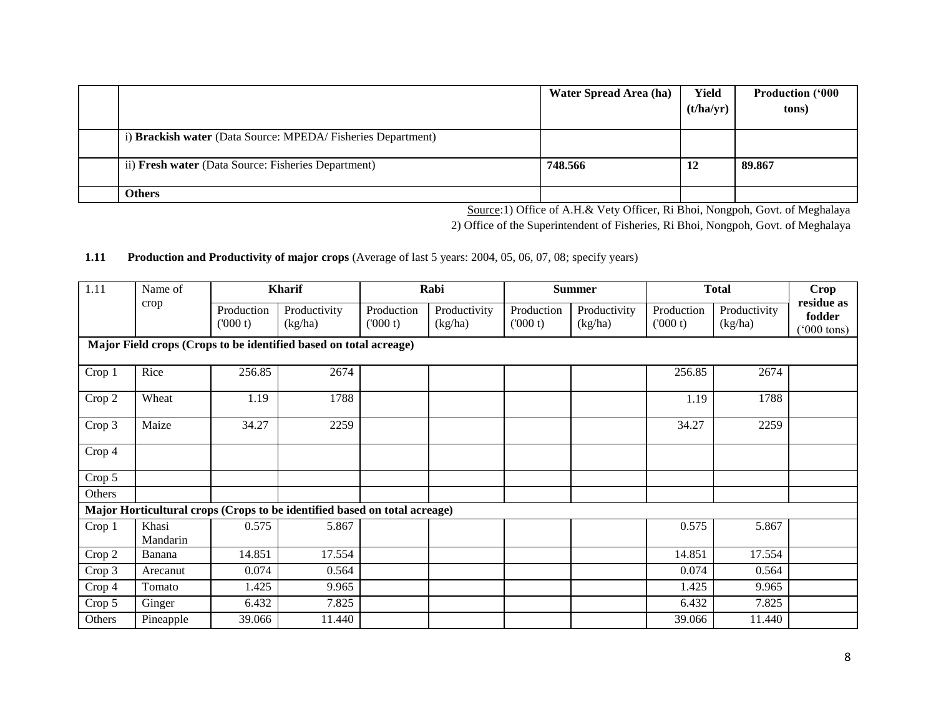|                                                             | Water Spread Area (ha) | Yield<br>(t/ha/yr) | <b>Production ('000</b><br>tons) |
|-------------------------------------------------------------|------------------------|--------------------|----------------------------------|
| i) Brackish water (Data Source: MPEDA/Fisheries Department) |                        |                    |                                  |
| ii) Fresh water (Data Source: Fisheries Department)         | 748.566                | 12                 | 89.867                           |
| <b>Others</b>                                               |                        |                    |                                  |

Source:1) Office of A.H.& Vety Officer, Ri Bhoi, Nongpoh, Govt. of Meghalaya

2) Office of the Superintendent of Fisheries, Ri Bhoi, Nongpoh, Govt. of Meghalaya

#### **1.11 Production and Productivity of major crops** (Average of last 5 years: 2004, 05, 06, 07, 08; specify years)

| 1.11   | Name of                                                           | <b>Kharif</b>          |                                                                           |                       | Rabi                    |                       | <b>Summer</b>           |                       | <b>Total</b>            |                                              |
|--------|-------------------------------------------------------------------|------------------------|---------------------------------------------------------------------------|-----------------------|-------------------------|-----------------------|-------------------------|-----------------------|-------------------------|----------------------------------------------|
|        | crop                                                              | Production<br>(1000 t) | Productivity<br>(kg/ha)                                                   | Production<br>(000 t) | Productivity<br>(kg/ha) | Production<br>(000 t) | Productivity<br>(kg/ha) | Production<br>(000 t) | Productivity<br>(kg/ha) | residue as<br>fodder<br>$(000 \text{ tons})$ |
|        | Major Field crops (Crops to be identified based on total acreage) |                        |                                                                           |                       |                         |                       |                         |                       |                         |                                              |
| Crop 1 | Rice                                                              | 256.85                 | 2674                                                                      |                       |                         |                       |                         | 256.85                | 2674                    |                                              |
| Crop 2 | Wheat                                                             | 1.19                   | 1788                                                                      |                       |                         |                       |                         | 1.19                  | 1788                    |                                              |
| Crop 3 | Maize                                                             | 34.27                  | 2259                                                                      |                       |                         |                       |                         | 34.27                 | 2259                    |                                              |
| Crop 4 |                                                                   |                        |                                                                           |                       |                         |                       |                         |                       |                         |                                              |
| Crop 5 |                                                                   |                        |                                                                           |                       |                         |                       |                         |                       |                         |                                              |
| Others |                                                                   |                        |                                                                           |                       |                         |                       |                         |                       |                         |                                              |
|        |                                                                   |                        | Major Horticultural crops (Crops to be identified based on total acreage) |                       |                         |                       |                         |                       |                         |                                              |
| Crop 1 | Khasi<br>Mandarin                                                 | 0.575                  | 5.867                                                                     |                       |                         |                       |                         | 0.575                 | 5.867                   |                                              |
| Crop 2 | Banana                                                            | 14.851                 | 17.554                                                                    |                       |                         |                       |                         | 14.851                | 17.554                  |                                              |
| Crop 3 | Arecanut                                                          | 0.074                  | 0.564                                                                     |                       |                         |                       |                         | 0.074                 | 0.564                   |                                              |
| Crop 4 | Tomato                                                            | 1.425                  | 9.965                                                                     |                       |                         |                       |                         | 1.425                 | 9.965                   |                                              |
| Crop 5 | Ginger                                                            | 6.432                  | 7.825                                                                     |                       |                         |                       |                         | 6.432                 | 7.825                   |                                              |
| Others | Pineapple                                                         | 39.066                 | 11.440                                                                    |                       |                         |                       |                         | 39.066                | 11.440                  |                                              |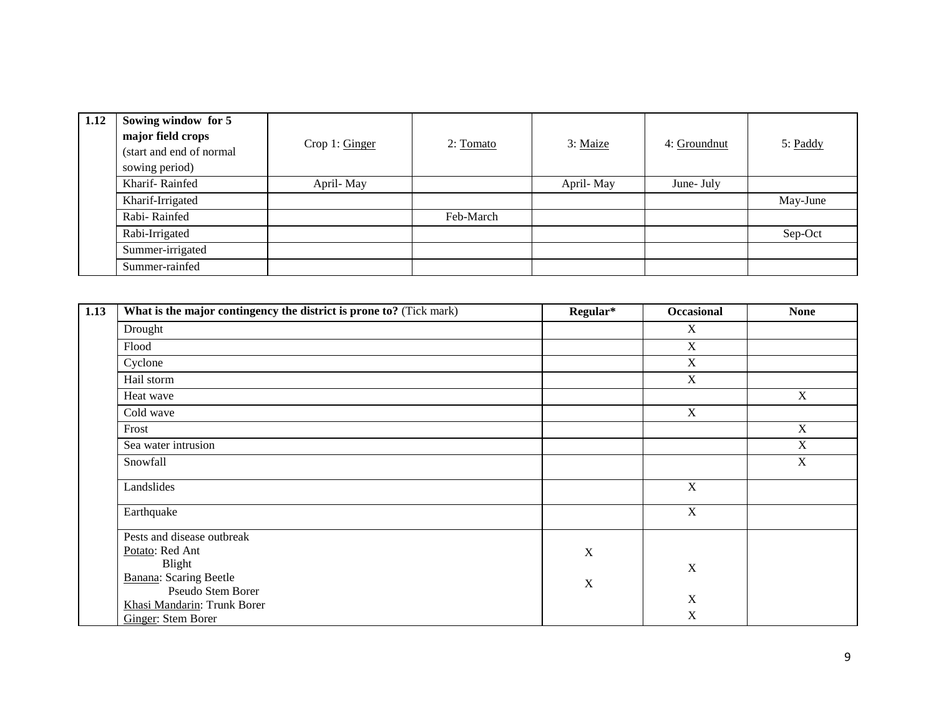| 1.12 | Sowing window for 5<br>major field crops<br>(start and end of normal<br>sowing period) | Crop 1: Ginger | $2: \underline{Tomato}$ | 3: Maize  | 4: Groundnut | 5: Paddy |
|------|----------------------------------------------------------------------------------------|----------------|-------------------------|-----------|--------------|----------|
|      | Kharif-Rainfed                                                                         | April-May      |                         | April-May | June- July   |          |
|      | Kharif-Irrigated                                                                       |                |                         |           |              | May-June |
|      | Rabi-Rainfed                                                                           |                | Feb-March               |           |              |          |
|      | Rabi-Irrigated                                                                         |                |                         |           |              | Sep-Oct  |
|      | Summer-irrigated                                                                       |                |                         |           |              |          |
|      | Summer-rainfed                                                                         |                |                         |           |              |          |

| 1.13 | What is the major contingency the district is prone to? (Tick mark) | Regular*    | <b>Occasional</b> | <b>None</b> |
|------|---------------------------------------------------------------------|-------------|-------------------|-------------|
|      | Drought                                                             |             | X                 |             |
|      | Flood                                                               |             | X                 |             |
|      | Cyclone                                                             |             | X                 |             |
|      | Hail storm                                                          |             | X                 |             |
|      | Heat wave                                                           |             |                   | $\mathbf X$ |
|      | Cold wave                                                           |             | $\mathbf X$       |             |
|      | Frost                                                               |             |                   | $\mathbf X$ |
|      | Sea water intrusion                                                 |             |                   | $\mathbf X$ |
|      | Snowfall                                                            |             |                   | $\mathbf X$ |
|      | Landslides                                                          |             | $\mathbf X$       |             |
|      | Earthquake                                                          |             | $\mathbf X$       |             |
|      | Pests and disease outbreak                                          |             |                   |             |
|      | Potato: Red Ant                                                     | $\mathbf X$ |                   |             |
|      | Blight                                                              |             | $\mathbf X$       |             |
|      | <b>Banana:</b> Scaring Beetle                                       | $\mathbf X$ |                   |             |
|      | Pseudo Stem Borer                                                   |             | $\mathbf X$       |             |
|      | Khasi Mandarin: Trunk Borer                                         |             |                   |             |
|      | Ginger: Stem Borer                                                  |             | $\mathbf X$       |             |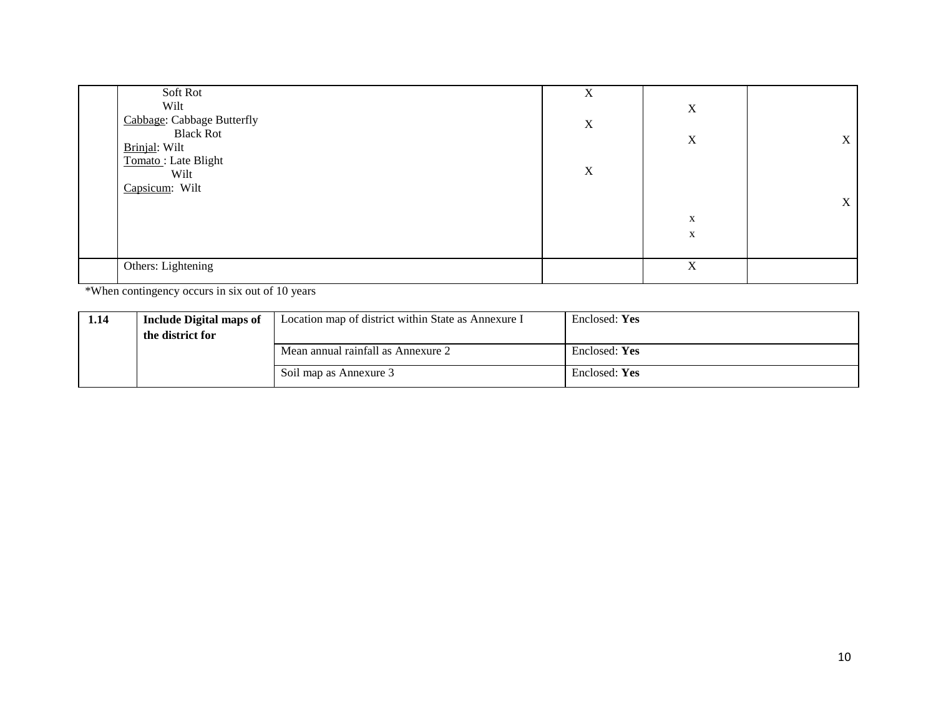| Soft Rot                   | X |             |   |
|----------------------------|---|-------------|---|
| Wilt                       |   | $\mathbf X$ |   |
| Cabbage: Cabbage Butterfly | X |             |   |
| <b>Black Rot</b>           |   | $\mathbf X$ | X |
| Brinjal: Wilt              |   |             |   |
| Tomato: Late Blight        |   |             |   |
| Wilt                       | X |             |   |
| Capsicum: Wilt             |   |             |   |
|                            |   |             | X |
|                            |   | $\mathbf X$ |   |
|                            |   | $\mathbf X$ |   |
|                            |   |             |   |
| Others: Lightening         |   | X           |   |
|                            |   |             |   |

\*When contingency occurs in six out of 10 years

| 1.14 | <b>Include Digital maps of</b><br>the district for | Location map of district within State as Annexure I | Enclosed: Yes |
|------|----------------------------------------------------|-----------------------------------------------------|---------------|
|      |                                                    | Mean annual rainfall as Annexure 2                  | Enclosed: Yes |
|      |                                                    | Soil map as Annexure 3                              | Enclosed: Yes |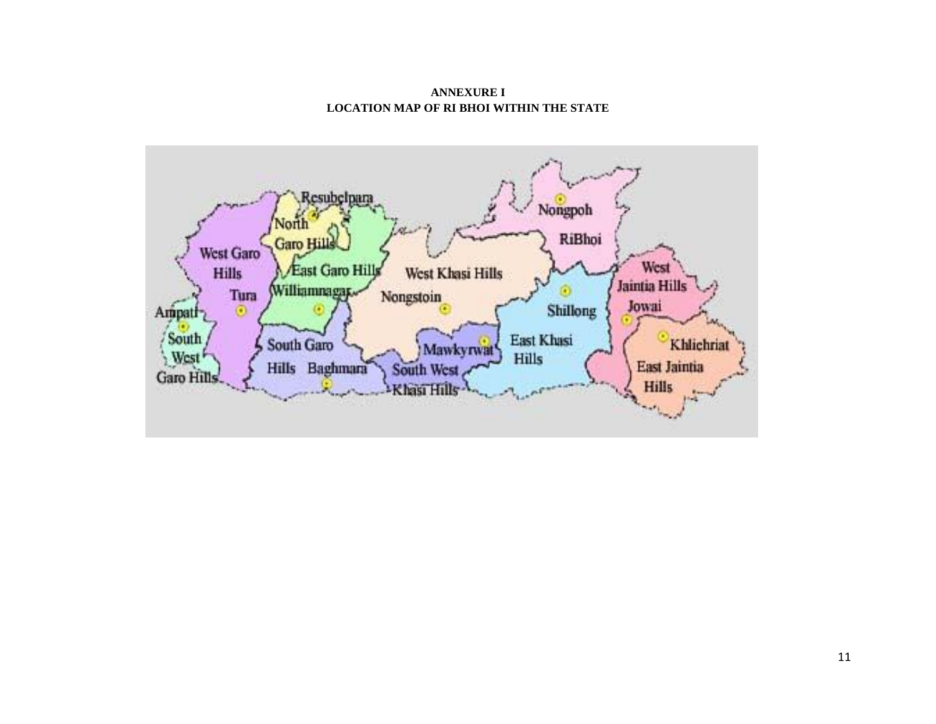**ANNEXURE I LOCATION MAP OF RI BHOI WITHIN THE STATE**

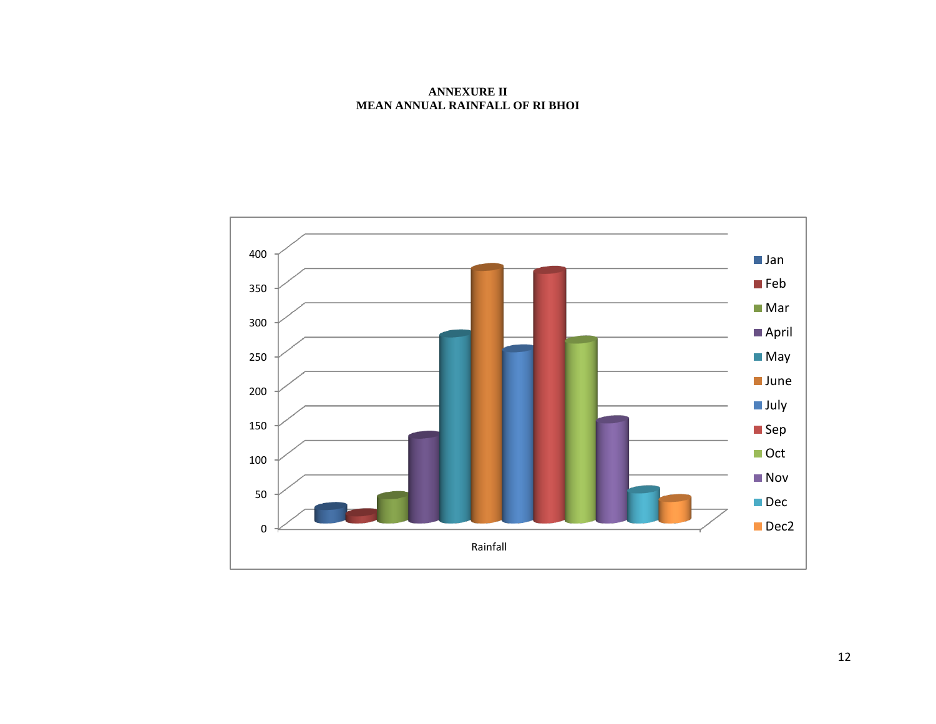**ANNEXURE II MEAN ANNUAL RAINFALL OF RI BHOI**

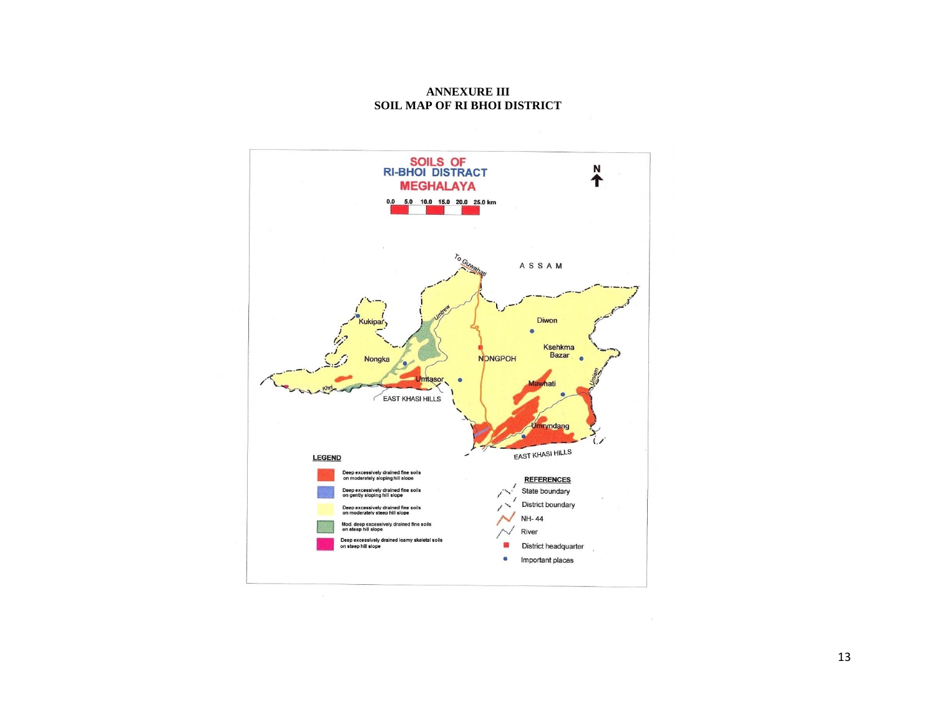**ANNEXURE III SOIL MAP OF RI BHOI DISTRICT**

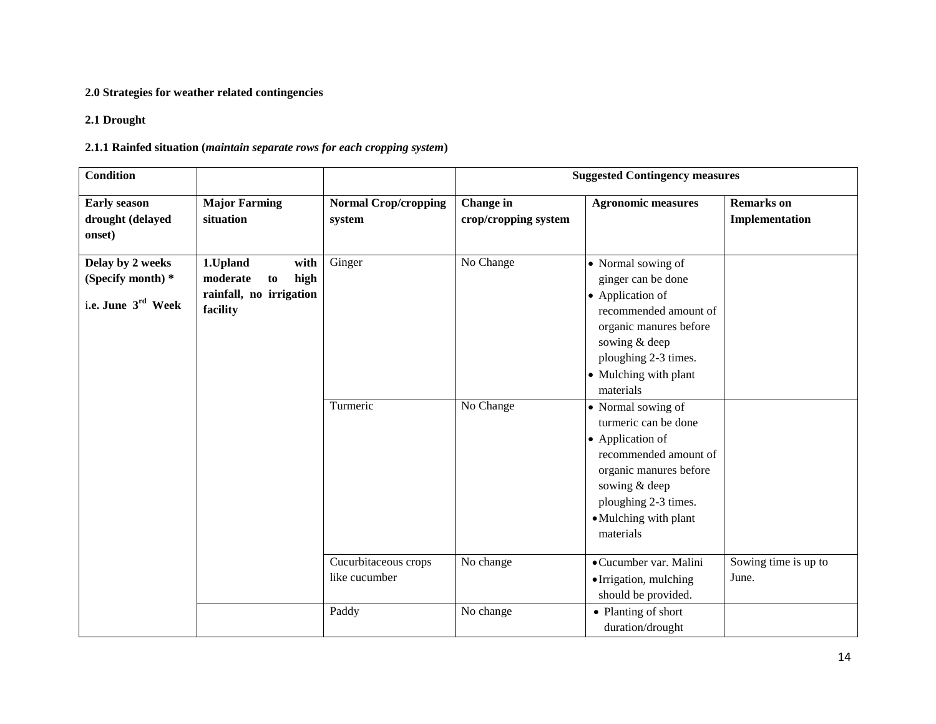## **2.0 Strategies for weather related contingencies**

### **2.1 Drought**

## **2.1.1 Rainfed situation (***maintain separate rows for each cropping system***)**

| <b>Condition</b>                                            |                                                                                   |                                       |                                   | <b>Suggested Contingency measures</b>                                                                                                                                                                                                                                                                                                                        |                                     |
|-------------------------------------------------------------|-----------------------------------------------------------------------------------|---------------------------------------|-----------------------------------|--------------------------------------------------------------------------------------------------------------------------------------------------------------------------------------------------------------------------------------------------------------------------------------------------------------------------------------------------------------|-------------------------------------|
| <b>Early season</b><br>drought (delayed<br>onset)           | <b>Major Farming</b><br>situation                                                 | <b>Normal Crop/cropping</b><br>system | Change in<br>crop/cropping system | <b>Agronomic measures</b>                                                                                                                                                                                                                                                                                                                                    | <b>Remarks</b> on<br>Implementation |
| Delay by 2 weeks<br>(Specify month) *<br>i.e. June 3rd Week | 1.Upland<br>with<br>moderate<br>high<br>to<br>rainfall, no irrigation<br>facility | Ginger<br>Turmeric                    | No Change<br>No Change            | • Normal sowing of<br>ginger can be done<br>• Application of<br>recommended amount of<br>organic manures before<br>sowing & deep<br>ploughing 2-3 times.<br>• Mulching with plant<br>materials<br>• Normal sowing of<br>turmeric can be done<br>• Application of<br>recommended amount of<br>organic manures before<br>sowing & deep<br>ploughing 2-3 times. |                                     |
|                                                             |                                                                                   | Cucurbitaceous crops<br>like cucumber | No change                         | • Mulching with plant<br>materials<br>· Cucumber var. Malini<br>• Irrigation, mulching<br>should be provided.                                                                                                                                                                                                                                                | Sowing time is up to<br>June.       |
|                                                             |                                                                                   | Paddy                                 | No change                         | • Planting of short<br>duration/drought                                                                                                                                                                                                                                                                                                                      |                                     |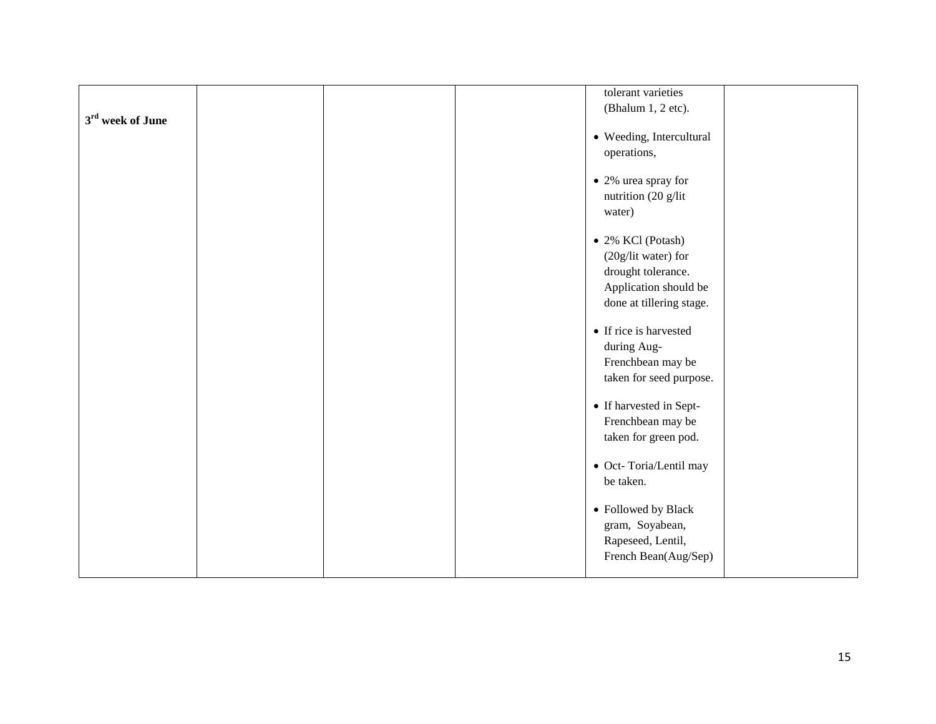| 3 <sup>rd</sup> week of June |  | tolerant varieties<br>(Bhalum 1, 2 etc).   |  |
|------------------------------|--|--------------------------------------------|--|
|                              |  | • Weeding, Intercultural                   |  |
|                              |  | operations,                                |  |
|                              |  | • 2% urea spray for<br>nutrition (20 g/lit |  |
|                              |  | water)                                     |  |
|                              |  | $\bullet$ 2% KCl (Potash)                  |  |
|                              |  | (20g/lit water) for<br>drought tolerance.  |  |
|                              |  | Application should be                      |  |
|                              |  | done at tillering stage.                   |  |
|                              |  | • If rice is harvested<br>during Aug-      |  |
|                              |  | Frenchbean may be                          |  |
|                              |  | taken for seed purpose.                    |  |
|                              |  | • If harvested in Sept-                    |  |
|                              |  | Frenchbean may be<br>taken for green pod.  |  |
|                              |  | • Oct-Toria/Lentil may                     |  |
|                              |  | be taken.                                  |  |
|                              |  | • Followed by Black                        |  |
|                              |  | gram, Soyabean,<br>Rapeseed, Lentil,       |  |
|                              |  | French Bean(Aug/Sep)                       |  |
|                              |  |                                            |  |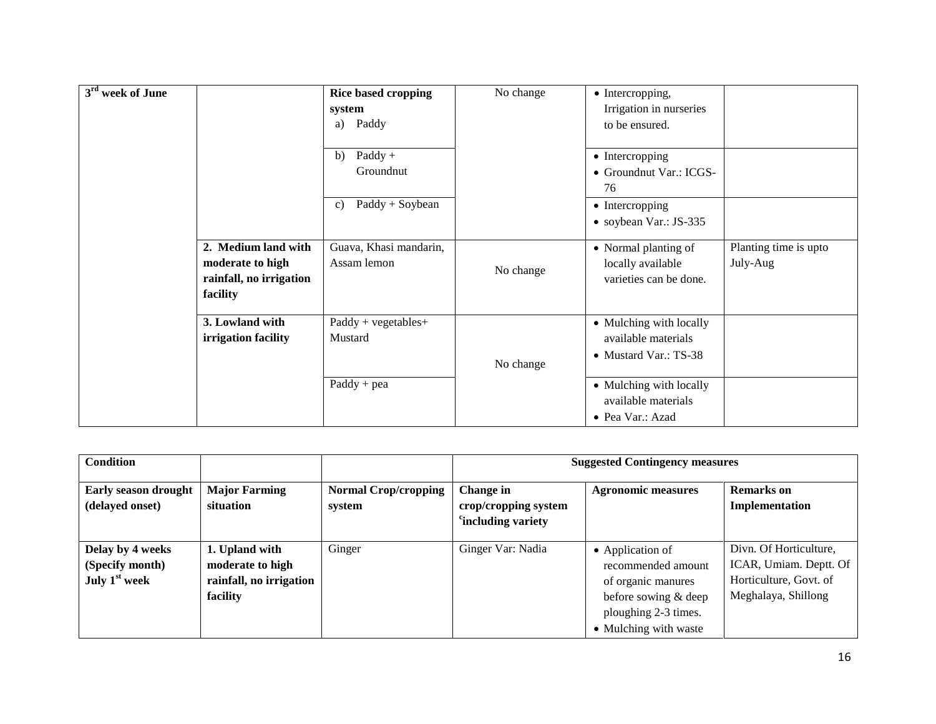| 3 <sup>rd</sup> week of June |                                                                                | <b>Rice based cropping</b><br>system<br>Paddy<br>a) | No change | • Intercropping,<br>Irrigation in nurseries<br>to be ensured.           |                                   |
|------------------------------|--------------------------------------------------------------------------------|-----------------------------------------------------|-----------|-------------------------------------------------------------------------|-----------------------------------|
|                              |                                                                                | $\text{Paddy}$ +<br>b)<br>Groundnut                 |           | • Intercropping<br>• Groundnut Var.: ICGS-<br>76                        |                                   |
|                              |                                                                                | $Paddy + Soybean$<br>c)                             |           | • Intercropping<br>• soybean Var.: JS-335                               |                                   |
|                              | 2. Medium land with<br>moderate to high<br>rainfall, no irrigation<br>facility | Guava, Khasi mandarin,<br>Assam lemon               | No change | • Normal planting of<br>locally available<br>varieties can be done.     | Planting time is upto<br>July-Aug |
|                              | 3. Lowland with<br>irrigation facility                                         | $Paddy + vegetables +$<br>Mustard                   | No change | • Mulching with locally<br>available materials<br>• Mustard Var.: TS-38 |                                   |
|                              |                                                                                | $Paddy + pea$                                       |           | • Mulching with locally<br>available materials<br>• Pea Var.: Azad      |                                   |

| <b>Condition</b>                                       |                                                                           |                                       | <b>Suggested Contingency measures</b>                               |                                                                                                                                       |                                                                                                   |  |
|--------------------------------------------------------|---------------------------------------------------------------------------|---------------------------------------|---------------------------------------------------------------------|---------------------------------------------------------------------------------------------------------------------------------------|---------------------------------------------------------------------------------------------------|--|
| Early season drought<br>(delayed onset)                | <b>Major Farming</b><br>situation                                         | <b>Normal Crop/cropping</b><br>system | Change in<br>crop/cropping system<br><sup>c</sup> including variety | <b>Agronomic measures</b>                                                                                                             | <b>Remarks</b> on<br>Implementation                                                               |  |
| Delay by 4 weeks<br>(Specify month)<br>July $1st$ week | 1. Upland with<br>moderate to high<br>rainfall, no irrigation<br>facility | Ginger                                | Ginger Var: Nadia                                                   | • Application of<br>recommended amount<br>of organic manures<br>before sowing & deep<br>ploughing 2-3 times.<br>• Mulching with waste | Divn. Of Horticulture,<br>ICAR, Umiam. Deptt. Of<br>Horticulture, Govt. of<br>Meghalaya, Shillong |  |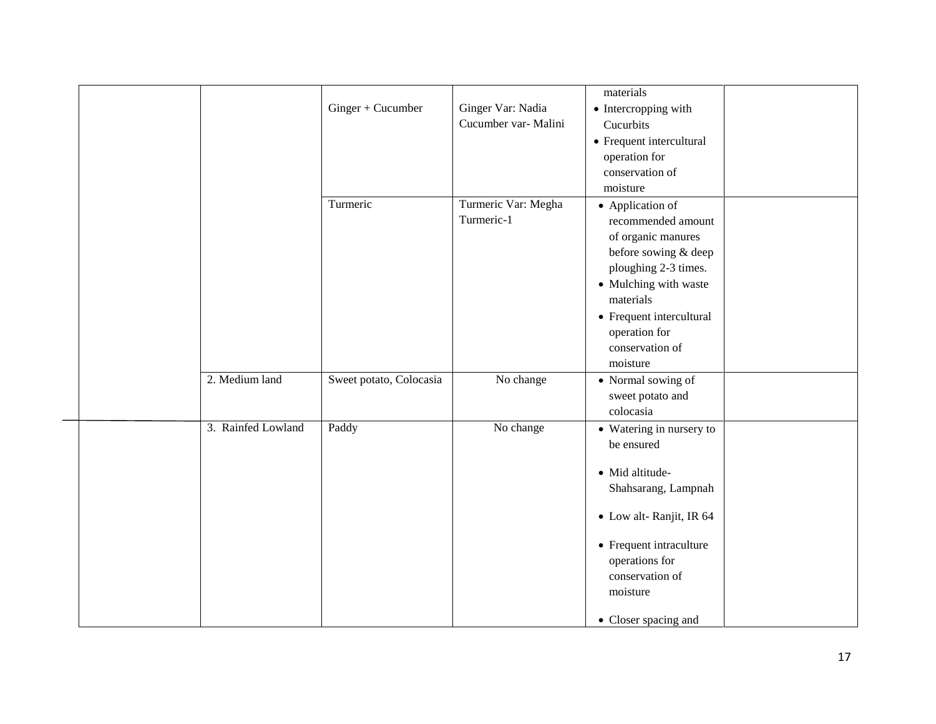|                    | Ginger + Cucumber       | Ginger Var: Nadia<br>Cucumber var- Malini | materials<br>• Intercropping with<br>Cucurbits<br>• Frequent intercultural<br>operation for<br>conservation of<br>moisture                                                                                                     |  |
|--------------------|-------------------------|-------------------------------------------|--------------------------------------------------------------------------------------------------------------------------------------------------------------------------------------------------------------------------------|--|
|                    | Turmeric                | Turmeric Var: Megha<br>Turmeric-1         | • Application of<br>recommended amount<br>of organic manures<br>before sowing & deep<br>ploughing 2-3 times.<br>• Mulching with waste<br>materials<br>• Frequent intercultural<br>operation for<br>conservation of<br>moisture |  |
| 2. Medium land     | Sweet potato, Colocasia | No change                                 | $\bullet\,$ Normal sowing of<br>sweet potato and<br>colocasia                                                                                                                                                                  |  |
| 3. Rainfed Lowland | Paddy                   | No change                                 | • Watering in nursery to<br>be ensured<br>• Mid altitude-<br>Shahsarang, Lampnah<br>• Low alt-Ranjit, IR 64<br>• Frequent intraculture<br>operations for<br>conservation of<br>moisture<br>• Closer spacing and                |  |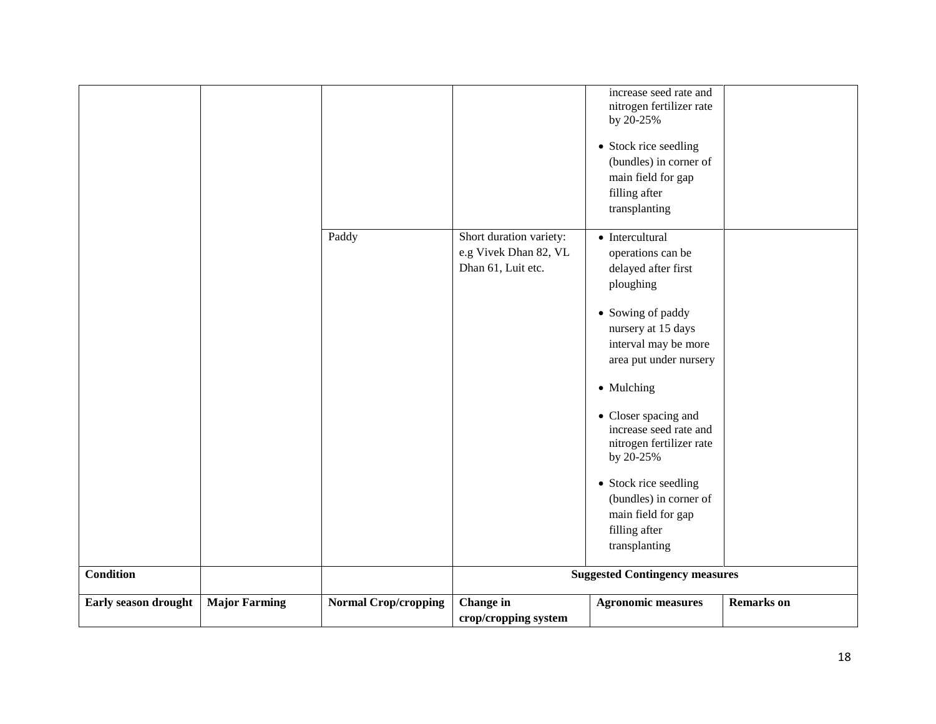|                      |                      |                             |                                                                        | increase seed rate and<br>nitrogen fertilizer rate<br>by 20-25%<br>• Stock rice seedling<br>(bundles) in corner of<br>main field for gap |                   |
|----------------------|----------------------|-----------------------------|------------------------------------------------------------------------|------------------------------------------------------------------------------------------------------------------------------------------|-------------------|
|                      |                      |                             |                                                                        | filling after<br>transplanting                                                                                                           |                   |
|                      |                      | Paddy                       | Short duration variety:<br>e.g Vivek Dhan 82, VL<br>Dhan 61, Luit etc. | $\bullet$ Intercultural<br>operations can be<br>delayed after first<br>ploughing<br>• Sowing of paddy<br>nursery at 15 days              |                   |
|                      |                      |                             |                                                                        | interval may be more<br>area put under nursery<br>• Mulching                                                                             |                   |
|                      |                      |                             |                                                                        | • Closer spacing and<br>increase seed rate and<br>nitrogen fertilizer rate<br>by 20-25%                                                  |                   |
|                      |                      |                             |                                                                        | • Stock rice seedling<br>(bundles) in corner of<br>main field for gap<br>filling after<br>transplanting                                  |                   |
| <b>Condition</b>     |                      |                             |                                                                        | <b>Suggested Contingency measures</b>                                                                                                    |                   |
| Early season drought | <b>Major Farming</b> | <b>Normal Crop/cropping</b> | <b>Change</b> in<br>crop/cropping system                               | <b>Agronomic measures</b>                                                                                                                | <b>Remarks</b> on |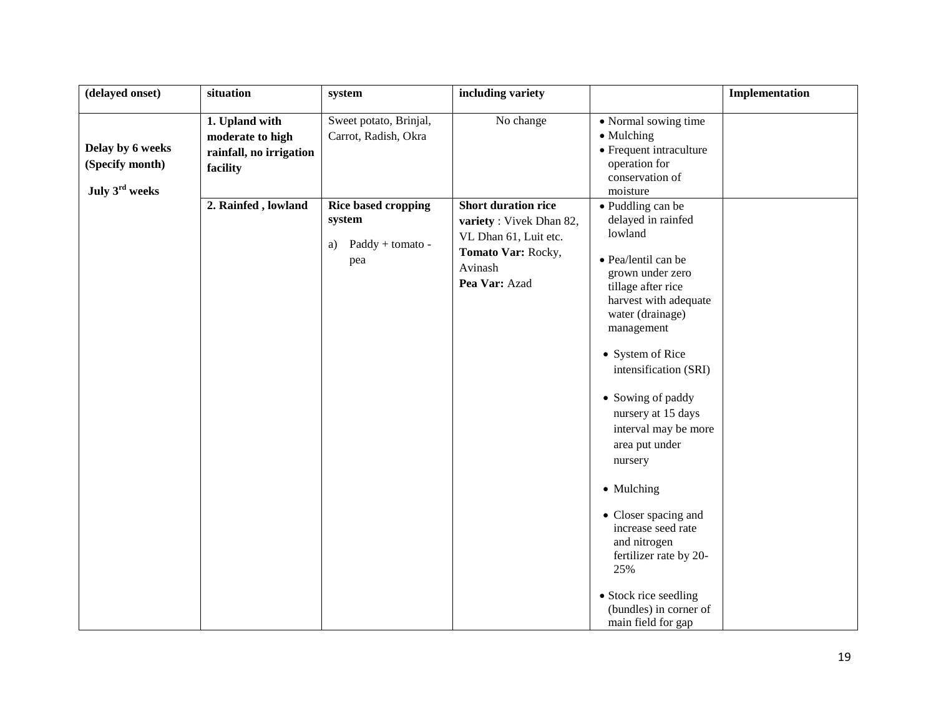| (delayed onset)                                                   | situation                                                                                        | system                                                                       | including variety                                                                                  |                                                                                                                                                                                                                                                                                                                                                                                                                                                                                              | Implementation |
|-------------------------------------------------------------------|--------------------------------------------------------------------------------------------------|------------------------------------------------------------------------------|----------------------------------------------------------------------------------------------------|----------------------------------------------------------------------------------------------------------------------------------------------------------------------------------------------------------------------------------------------------------------------------------------------------------------------------------------------------------------------------------------------------------------------------------------------------------------------------------------------|----------------|
| Delay by 6 weeks<br>(Specify month)<br>July 3 <sup>rd</sup> weeks | 1. Upland with<br>moderate to high<br>rainfall, no irrigation<br>facility<br>2. Rainfed, lowland | Sweet potato, Brinjal,<br>Carrot, Radish, Okra<br><b>Rice based cropping</b> | No change<br><b>Short duration rice</b>                                                            | • Normal sowing time<br>• Mulching<br>• Frequent intraculture<br>operation for<br>conservation of<br>moisture<br>• Puddling can be                                                                                                                                                                                                                                                                                                                                                           |                |
|                                                                   |                                                                                                  | system<br>Paddy + tomato -<br>a)<br>pea                                      | variety: Vivek Dhan 82,<br>VL Dhan 61, Luit etc.<br>Tomato Var: Rocky,<br>Avinash<br>Pea Var: Azad | delayed in rainfed<br>lowland<br>· Pea/lentil can be<br>grown under zero<br>tillage after rice<br>harvest with adequate<br>water (drainage)<br>management<br>• System of Rice<br>intensification (SRI)<br>• Sowing of paddy<br>nursery at 15 days<br>interval may be more<br>area put under<br>nursery<br>• Mulching<br>• Closer spacing and<br>increase seed rate<br>and nitrogen<br>fertilizer rate by 20-<br>25%<br>• Stock rice seedling<br>(bundles) in corner of<br>main field for gap |                |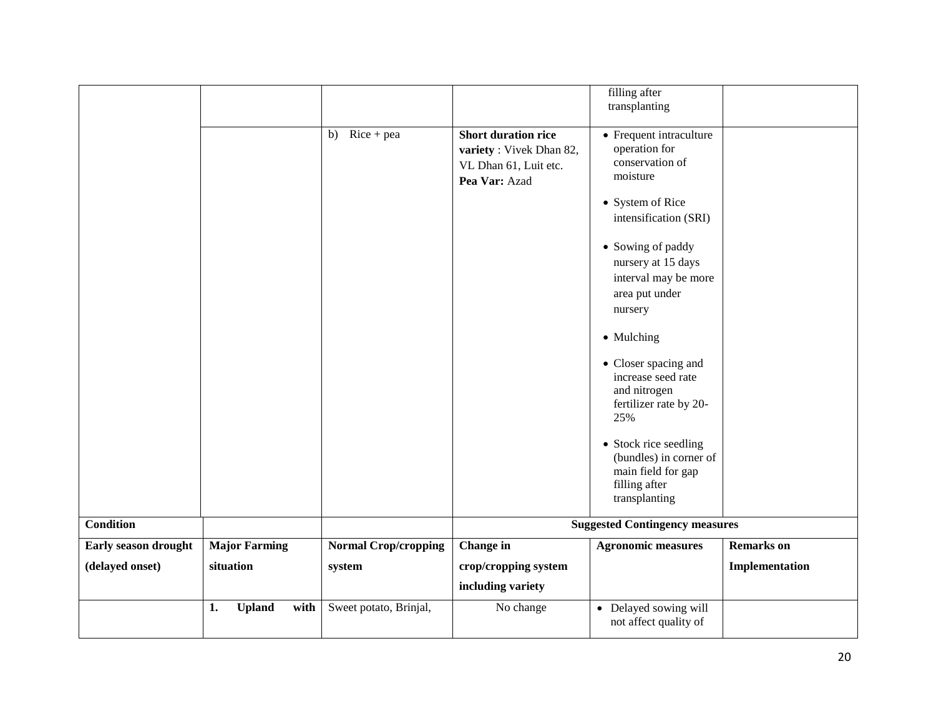|                      |                             |                             |                                                                                                 | filling after<br>transplanting                                                                          |                   |
|----------------------|-----------------------------|-----------------------------|-------------------------------------------------------------------------------------------------|---------------------------------------------------------------------------------------------------------|-------------------|
|                      |                             | b) $Rice + pea$             | <b>Short duration rice</b><br>variety: Vivek Dhan 82,<br>VL Dhan 61, Luit etc.<br>Pea Var: Azad | • Frequent intraculture<br>operation for<br>conservation of<br>moisture                                 |                   |
|                      |                             |                             |                                                                                                 | • System of Rice<br>intensification (SRI)                                                               |                   |
|                      |                             |                             |                                                                                                 | • Sowing of paddy<br>nursery at 15 days<br>interval may be more<br>area put under<br>nursery            |                   |
|                      |                             |                             |                                                                                                 | • Mulching                                                                                              |                   |
|                      |                             |                             |                                                                                                 | • Closer spacing and<br>increase seed rate<br>and nitrogen<br>fertilizer rate by 20-<br>25%             |                   |
|                      |                             |                             |                                                                                                 | • Stock rice seedling<br>(bundles) in corner of<br>main field for gap<br>filling after<br>transplanting |                   |
| <b>Condition</b>     |                             |                             |                                                                                                 | <b>Suggested Contingency measures</b>                                                                   |                   |
| Early season drought | <b>Major Farming</b>        | <b>Normal Crop/cropping</b> | Change in                                                                                       | <b>Agronomic measures</b>                                                                               | <b>Remarks</b> on |
| (delayed onset)      | situation                   | system                      | crop/cropping system                                                                            |                                                                                                         | Implementation    |
|                      |                             |                             | including variety                                                                               |                                                                                                         |                   |
|                      | <b>Upland</b><br>with<br>1. | Sweet potato, Brinjal,      | No change                                                                                       | • Delayed sowing will<br>not affect quality of                                                          |                   |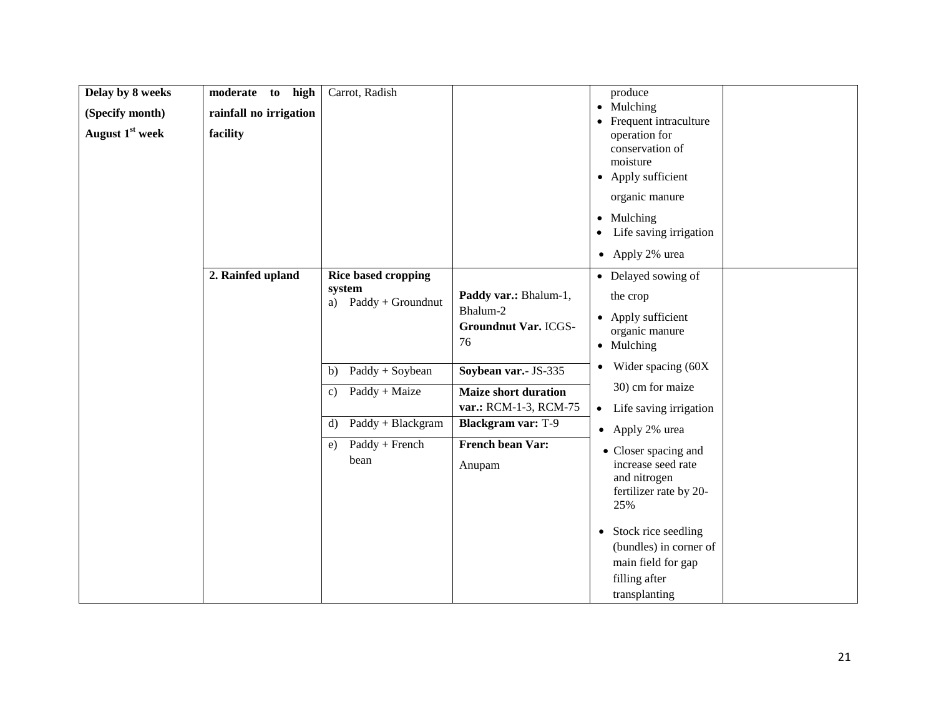| Delay by 8 weeks            | moderate to high       | Carrot, Radish                    |                             | produce                                             |
|-----------------------------|------------------------|-----------------------------------|-----------------------------|-----------------------------------------------------|
| (Specify month)             | rainfall no irrigation |                                   |                             | • Mulching                                          |
| August 1 <sup>st</sup> week | facility               |                                   |                             | Frequent intraculture<br>$\bullet$<br>operation for |
|                             |                        |                                   |                             | conservation of                                     |
|                             |                        |                                   |                             | moisture<br>• Apply sufficient                      |
|                             |                        |                                   |                             | organic manure                                      |
|                             |                        |                                   |                             |                                                     |
|                             |                        |                                   |                             | • Mulching<br>Life saving irrigation<br>$\bullet$   |
|                             |                        |                                   |                             | • Apply 2% urea                                     |
|                             | 2. Rainfed upland      | <b>Rice based cropping</b>        |                             | • Delayed sowing of                                 |
|                             |                        | system                            | Paddy var.: Bhalum-1,       |                                                     |
|                             |                        | a) $Paddy + Groundnut$            | Bhalum-2                    | the crop                                            |
|                             |                        |                                   | <b>Groundnut Var. ICGS-</b> | • Apply sufficient<br>organic manure                |
|                             |                        |                                   | 76                          | • Mulching                                          |
|                             |                        | $Paddy + Soybean$<br>b)           | Soybean var.- JS-335        | $\bullet$ Wider spacing (60X)                       |
|                             |                        | Paddy + Maize<br>$\mathbf{c})$    | <b>Maize short duration</b> | 30) cm for maize                                    |
|                             |                        |                                   | var.: RCM-1-3, RCM-75       | Life saving irrigation<br>$\bullet$                 |
|                             |                        | Paddy + Blackgram<br>$\mathbf{d}$ | <b>Blackgram var: T-9</b>   | • Apply 2% urea                                     |
|                             |                        | Paddy + French<br>e)              | French bean Var:            | • Closer spacing and                                |
|                             |                        | bean                              | Anupam                      | increase seed rate                                  |
|                             |                        |                                   |                             | and nitrogen                                        |
|                             |                        |                                   |                             | fertilizer rate by 20-<br>25%                       |
|                             |                        |                                   |                             |                                                     |
|                             |                        |                                   |                             | • Stock rice seedling<br>(bundles) in corner of     |
|                             |                        |                                   |                             | main field for gap                                  |
|                             |                        |                                   |                             | filling after                                       |
|                             |                        |                                   |                             | transplanting                                       |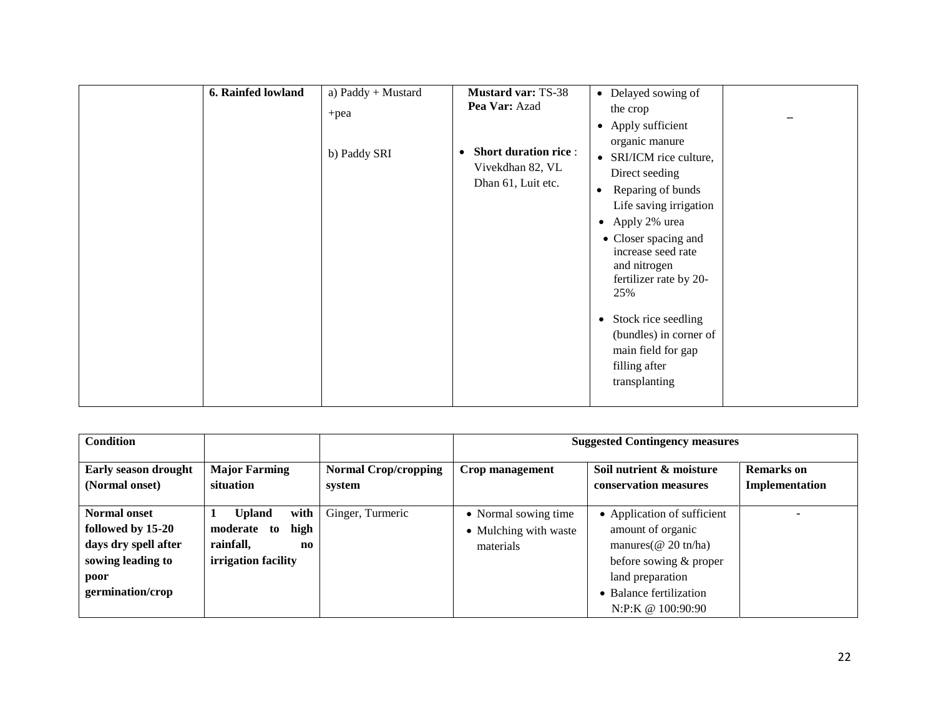| main field for gap<br>filling after<br>transplanting |
|------------------------------------------------------|
|------------------------------------------------------|

| <b>Condition</b>                                                                                                  |                                                                                                            |                                       | <b>Suggested Contingency measures</b>                      |                                                                                                                                                                             |                              |
|-------------------------------------------------------------------------------------------------------------------|------------------------------------------------------------------------------------------------------------|---------------------------------------|------------------------------------------------------------|-----------------------------------------------------------------------------------------------------------------------------------------------------------------------------|------------------------------|
| Early season drought<br>(Normal onset)                                                                            | <b>Major Farming</b><br>situation                                                                          | <b>Normal Crop/cropping</b><br>system | Crop management                                            | Soil nutrient & moisture<br>conservation measures                                                                                                                           | Remarks on<br>Implementation |
| <b>Normal onset</b><br>followed by 15-20<br>days dry spell after<br>sowing leading to<br>poor<br>germination/crop | <b>Upland</b><br>with<br>high<br>moderate to<br>rainfall,<br>$\mathbf{n}\mathbf{o}$<br>irrigation facility | Ginger, Turmeric                      | • Normal sowing time<br>• Mulching with waste<br>materials | • Application of sufficient<br>amount of organic<br>manures ( $@$ 20 tn/ha)<br>before sowing & proper<br>land preparation<br>• Balance fertilization<br>N:P:K @ $100:90:90$ |                              |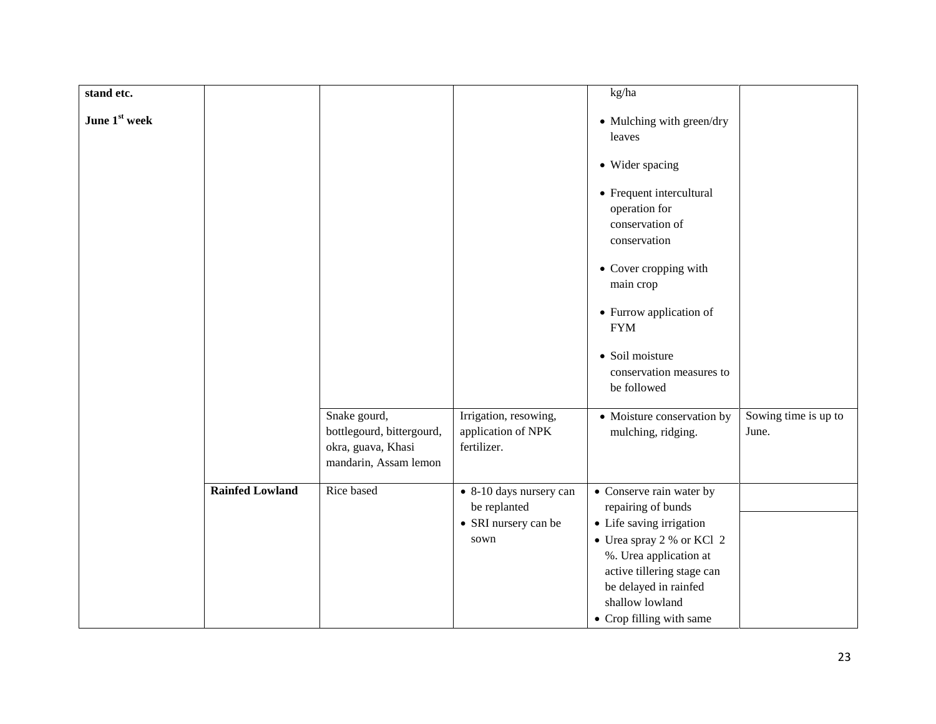| stand etc.             |                                                                                          |                                                            | kg/ha                                                                                                                                                                                 |                               |
|------------------------|------------------------------------------------------------------------------------------|------------------------------------------------------------|---------------------------------------------------------------------------------------------------------------------------------------------------------------------------------------|-------------------------------|
| June 1st week          |                                                                                          |                                                            | • Mulching with green/dry<br>leaves                                                                                                                                                   |                               |
|                        |                                                                                          |                                                            | • Wider spacing                                                                                                                                                                       |                               |
|                        |                                                                                          |                                                            | • Frequent intercultural<br>operation for<br>conservation of<br>conservation                                                                                                          |                               |
|                        |                                                                                          |                                                            | • Cover cropping with<br>main crop                                                                                                                                                    |                               |
|                        |                                                                                          |                                                            | • Furrow application of<br><b>FYM</b>                                                                                                                                                 |                               |
|                        |                                                                                          |                                                            | · Soil moisture<br>conservation measures to<br>be followed                                                                                                                            |                               |
|                        | Snake gourd,<br>bottlegourd, bittergourd,<br>okra, guava, Khasi<br>mandarin, Assam lemon | Irrigation, resowing,<br>application of NPK<br>fertilizer. | • Moisture conservation by<br>mulching, ridging.                                                                                                                                      | Sowing time is up to<br>June. |
| <b>Rainfed Lowland</b> | Rice based                                                                               | • 8-10 days nursery can<br>be replanted                    | • Conserve rain water by<br>repairing of bunds                                                                                                                                        |                               |
|                        |                                                                                          | • SRI nursery can be<br>sown                               | • Life saving irrigation<br>• Urea spray 2 % or KCl 2<br>%. Urea application at<br>active tillering stage can<br>be delayed in rainfed<br>shallow lowland<br>• Crop filling with same |                               |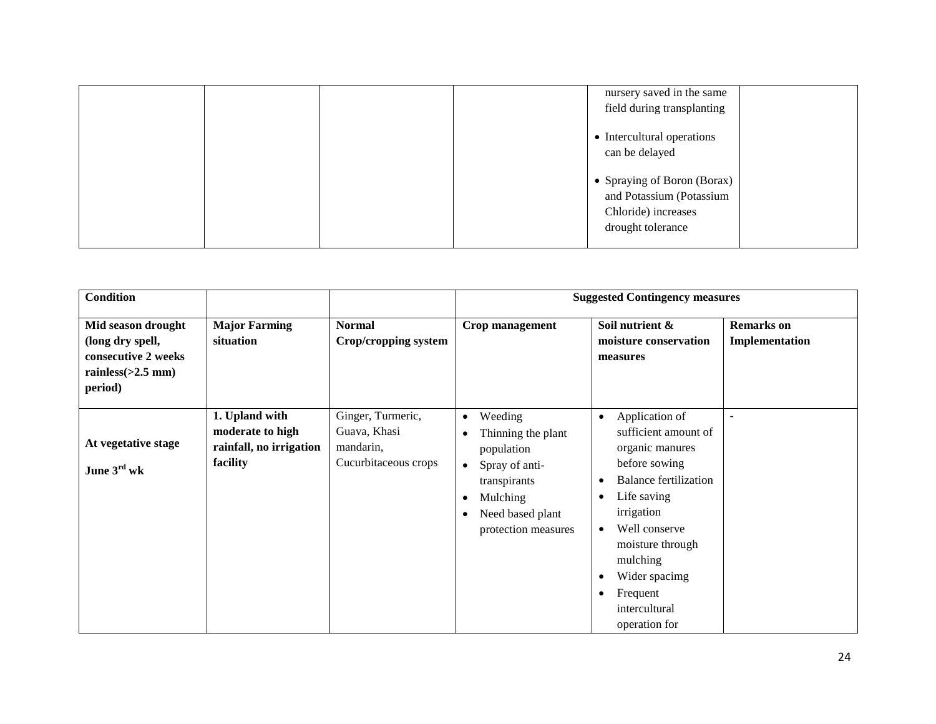|  |  | nursery saved in the same<br>field during transplanting                                             |  |
|--|--|-----------------------------------------------------------------------------------------------------|--|
|  |  | • Intercultural operations<br>can be delayed                                                        |  |
|  |  | • Spraying of Boron (Borax)<br>and Potassium (Potassium<br>Chloride) increases<br>drought tolerance |  |

| <b>Condition</b>                                                                                 |                                                                           |                                                                        | <b>Suggested Contingency measures</b>                                                                                                                          |                                                                                                                                                                                                                                                                                                |                                     |
|--------------------------------------------------------------------------------------------------|---------------------------------------------------------------------------|------------------------------------------------------------------------|----------------------------------------------------------------------------------------------------------------------------------------------------------------|------------------------------------------------------------------------------------------------------------------------------------------------------------------------------------------------------------------------------------------------------------------------------------------------|-------------------------------------|
| Mid season drought<br>(long dry spell,<br>consecutive 2 weeks<br>rainless $(>2.5$ mm)<br>period) | <b>Major Farming</b><br>situation                                         | <b>Normal</b><br>Crop/cropping system                                  | Crop management                                                                                                                                                | Soil nutrient &<br>moisture conservation<br>measures                                                                                                                                                                                                                                           | <b>Remarks</b> on<br>Implementation |
| At vegetative stage<br>June $3rd$ wk                                                             | 1. Upland with<br>moderate to high<br>rainfall, no irrigation<br>facility | Ginger, Turmeric,<br>Guava, Khasi<br>mandarin,<br>Cucurbitaceous crops | Weeding<br>$\bullet$<br>Thinning the plant<br>population<br>Spray of anti-<br>$\bullet$<br>transpirants<br>Mulching<br>Need based plant<br>protection measures | Application of<br>$\bullet$<br>sufficient amount of<br>organic manures<br>before sowing<br><b>Balance fertilization</b><br>Life saving<br>irrigation<br>Well conserve<br>$\bullet$<br>moisture through<br>mulching<br>Wider spacimg<br>Frequent<br>$\bullet$<br>intercultural<br>operation for |                                     |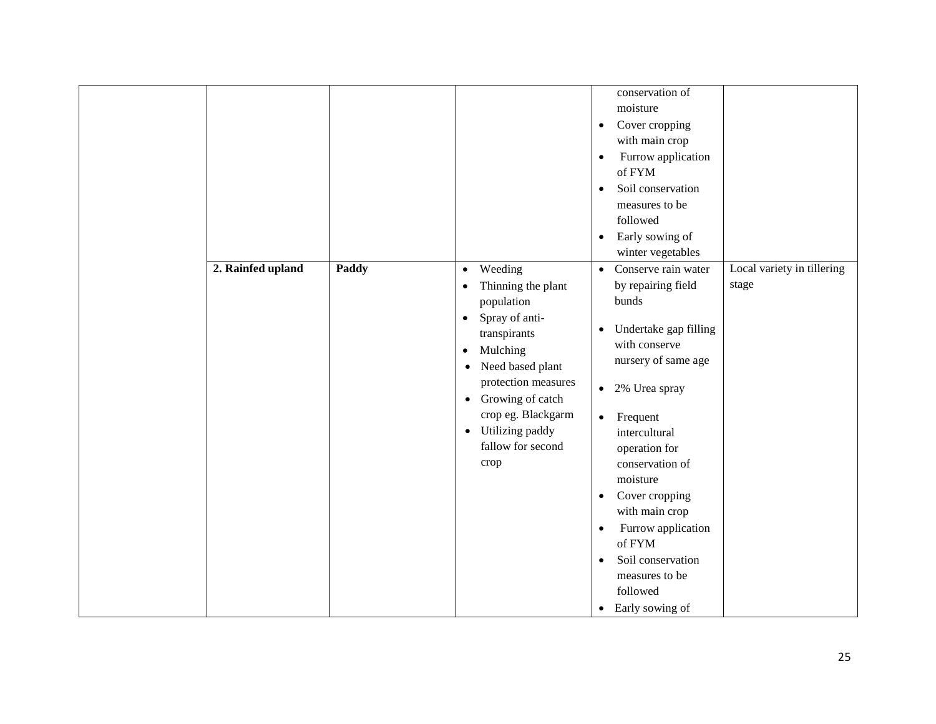| 2. Rainfed upland | Paddy | Weeding<br>$\bullet$                                                                                                                                                                                                                                                                              | conservation of<br>moisture<br>Cover cropping<br>$\bullet$<br>with main crop<br>Furrow application<br>$\bullet$<br>of FYM<br>Soil conservation<br>$\bullet$<br>measures to be<br>followed<br>Early sowing of<br>$\bullet$<br>winter vegetables<br>Conserve rain water<br>$\bullet$                                                                                                                                           | Local variety in tillering |
|-------------------|-------|---------------------------------------------------------------------------------------------------------------------------------------------------------------------------------------------------------------------------------------------------------------------------------------------------|------------------------------------------------------------------------------------------------------------------------------------------------------------------------------------------------------------------------------------------------------------------------------------------------------------------------------------------------------------------------------------------------------------------------------|----------------------------|
|                   |       | Thinning the plant<br>$\bullet$<br>population<br>Spray of anti-<br>$\bullet$<br>transpirants<br>Mulching<br>$\bullet$<br>Need based plant<br>$\bullet$<br>protection measures<br>Growing of catch<br>$\bullet$<br>crop eg. Blackgarm<br>Utilizing paddy<br>$\bullet$<br>fallow for second<br>crop | by repairing field<br>bunds<br>Undertake gap filling<br>$\bullet$<br>with conserve<br>nursery of same age<br>2% Urea spray<br>$\bullet$<br>$\bullet$ Frequent<br>intercultural<br>operation for<br>conservation of<br>moisture<br>Cover cropping<br>$\bullet$<br>with main crop<br>Furrow application<br>$\bullet$<br>of FYM<br>Soil conservation<br>$\bullet$<br>measures to be<br>followed<br>Early sowing of<br>$\bullet$ | stage                      |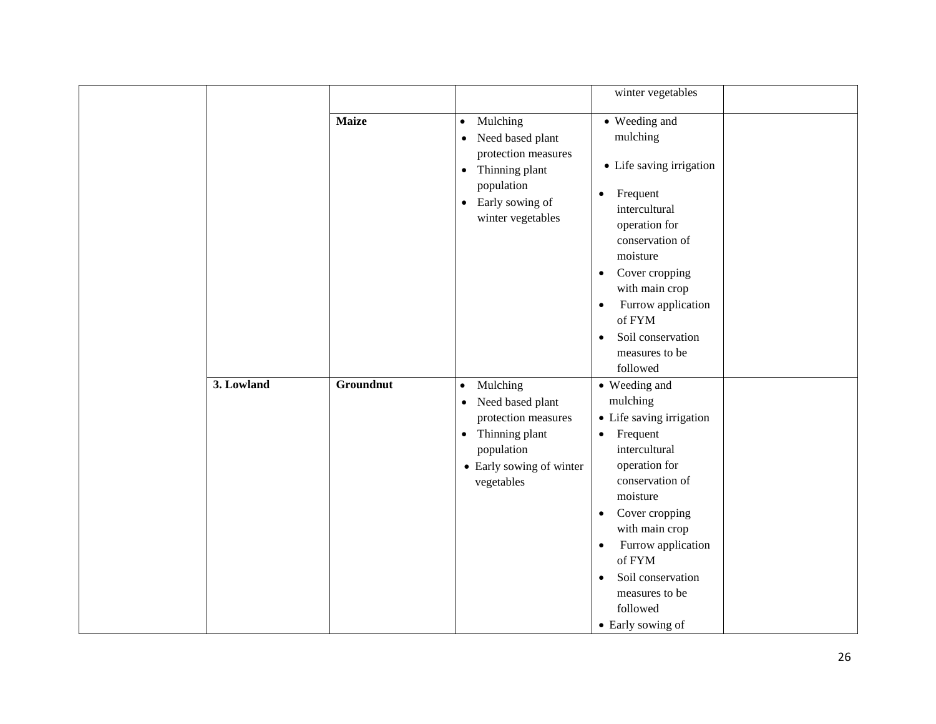|            |              |                                                      | winter vegetables                                                                                                                                                                    |  |
|------------|--------------|------------------------------------------------------|--------------------------------------------------------------------------------------------------------------------------------------------------------------------------------------|--|
|            | <b>Maize</b> | • Mulching                                           | • Weeding and                                                                                                                                                                        |  |
|            |              | Need based plant<br>$\bullet$                        | mulching                                                                                                                                                                             |  |
|            |              | protection measures<br>Thinning plant<br>$\bullet$   | • Life saving irrigation                                                                                                                                                             |  |
|            |              | population<br>• Early sowing of<br>winter vegetables | Frequent<br>$\bullet$<br>intercultural<br>operation for<br>conservation of<br>moisture<br>Cover cropping<br>$\bullet$<br>with main crop<br>Furrow application<br>$\bullet$<br>of FYM |  |
|            |              |                                                      | Soil conservation<br>$\bullet$                                                                                                                                                       |  |
|            |              |                                                      | measures to be                                                                                                                                                                       |  |
|            |              |                                                      | followed                                                                                                                                                                             |  |
| 3. Lowland | Groundnut    | Mulching<br>$\bullet$                                | • Weeding and                                                                                                                                                                        |  |
|            |              | Need based plant<br>$\bullet$                        | mulching                                                                                                                                                                             |  |
|            |              | protection measures                                  | • Life saving irrigation                                                                                                                                                             |  |
|            |              | • Thinning plant                                     | Frequent<br>$\bullet$                                                                                                                                                                |  |
|            |              | population                                           | intercultural                                                                                                                                                                        |  |
|            |              | • Early sowing of winter                             | operation for                                                                                                                                                                        |  |
|            |              | vegetables                                           | conservation of                                                                                                                                                                      |  |
|            |              |                                                      | moisture                                                                                                                                                                             |  |
|            |              |                                                      | Cover cropping<br>$\bullet$<br>with main crop                                                                                                                                        |  |
|            |              |                                                      |                                                                                                                                                                                      |  |
|            |              |                                                      | Furrow application<br>٠<br>of FYM                                                                                                                                                    |  |
|            |              |                                                      | Soil conservation<br>$\bullet$                                                                                                                                                       |  |
|            |              |                                                      | measures to be                                                                                                                                                                       |  |
|            |              |                                                      | followed                                                                                                                                                                             |  |
|            |              |                                                      | • Early sowing of                                                                                                                                                                    |  |
|            |              |                                                      |                                                                                                                                                                                      |  |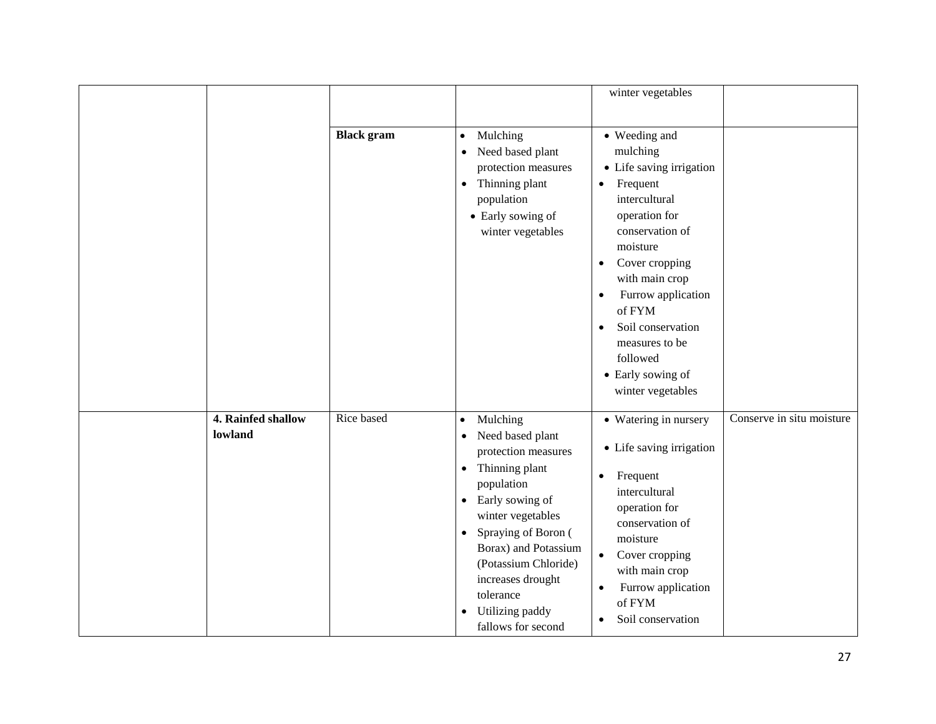|  |                               |                                                                                                                                                                      |                                                                                                                                                                                                                                                                                                                                                         | winter vegetables                                                                                                                                                                                                                                                           |                           |
|--|-------------------------------|----------------------------------------------------------------------------------------------------------------------------------------------------------------------|---------------------------------------------------------------------------------------------------------------------------------------------------------------------------------------------------------------------------------------------------------------------------------------------------------------------------------------------------------|-----------------------------------------------------------------------------------------------------------------------------------------------------------------------------------------------------------------------------------------------------------------------------|---------------------------|
|  | <b>Black</b> gram             | Mulching<br>$\bullet$<br>Need based plant<br>$\bullet$<br>protection measures<br>Thinning plant<br>$\bullet$<br>population<br>• Early sowing of<br>winter vegetables | • Weeding and<br>mulching<br>• Life saving irrigation<br>Frequent<br>$\bullet$<br>intercultural<br>operation for<br>conservation of<br>moisture<br>Cover cropping<br>$\bullet$<br>with main crop<br>Furrow application<br>$\bullet$<br>of FYM<br>Soil conservation<br>$\bullet$<br>measures to be<br>followed<br>• Early sowing of<br>winter vegetables |                                                                                                                                                                                                                                                                             |                           |
|  | 4. Rainfed shallow<br>lowland | Rice based                                                                                                                                                           | Mulching<br>$\bullet$<br>Need based plant<br>$\bullet$<br>protection measures<br>Thinning plant<br>٠<br>population<br>• Early sowing of<br>winter vegetables<br>Spraying of Boron (<br>$\bullet$<br>Borax) and Potassium<br>(Potassium Chloride)<br>increases drought<br>tolerance<br>Utilizing paddy<br>٠<br>fallows for second                        | • Watering in nursery<br>• Life saving irrigation<br>Frequent<br>$\bullet$<br>intercultural<br>operation for<br>conservation of<br>moisture<br>Cover cropping<br>$\bullet$<br>with main crop<br>Furrow application<br>$\bullet$<br>of FYM<br>Soil conservation<br>$\bullet$ | Conserve in situ moisture |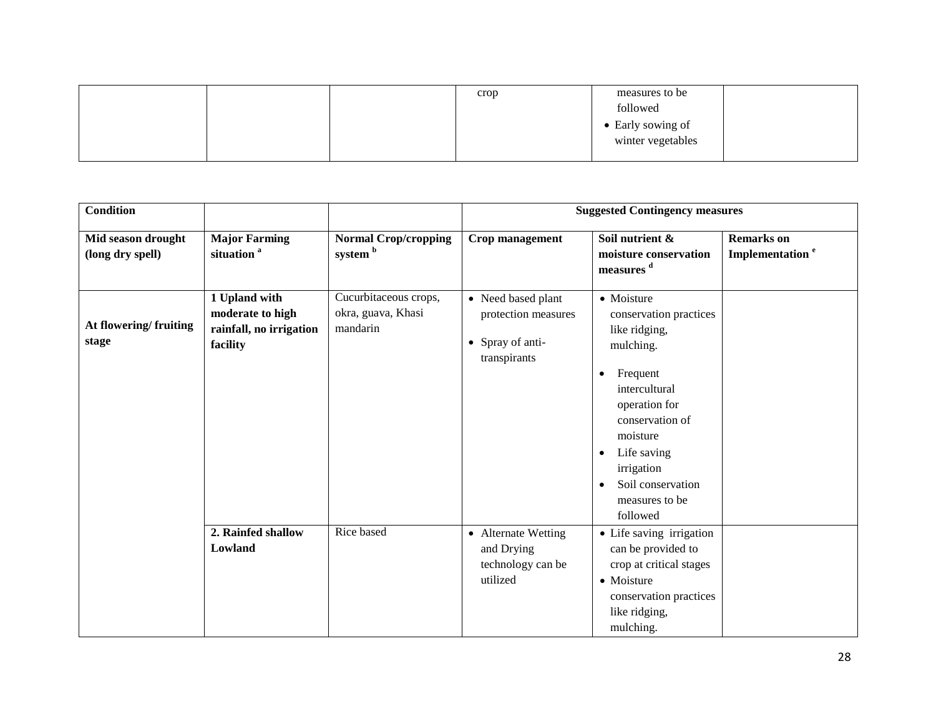|  | crop | measures to be    |  |
|--|------|-------------------|--|
|  |      | followed          |  |
|  |      | • Early sowing of |  |
|  |      | winter vegetables |  |
|  |      |                   |  |

| <b>Condition</b>                       |                                                                          |                                                         |                                                                               | <b>Suggested Contingency measures</b>                                                                                                                                                                                                                          |                                                  |
|----------------------------------------|--------------------------------------------------------------------------|---------------------------------------------------------|-------------------------------------------------------------------------------|----------------------------------------------------------------------------------------------------------------------------------------------------------------------------------------------------------------------------------------------------------------|--------------------------------------------------|
| Mid season drought<br>(long dry spell) | <b>Major Farming</b><br>situation <sup>a</sup>                           | <b>Normal Crop/cropping</b><br>system b                 | Crop management                                                               | Soil nutrient &<br>moisture conservation<br>measures <sup>d</sup>                                                                                                                                                                                              | <b>Remarks</b> on<br>Implementation <sup>e</sup> |
| At flowering/fruiting<br>stage         | 1 Upland with<br>moderate to high<br>rainfall, no irrigation<br>facility | Cucurbitaceous crops,<br>okra, guava, Khasi<br>mandarin | • Need based plant<br>protection measures<br>• Spray of anti-<br>transpirants | • Moisture<br>conservation practices<br>like ridging,<br>mulching.<br>Frequent<br>٠<br>intercultural<br>operation for<br>conservation of<br>moisture<br>Life saving<br>$\bullet$<br>irrigation<br>Soil conservation<br>$\bullet$<br>measures to be<br>followed |                                                  |
|                                        | 2. Rainfed shallow<br>Lowland                                            | Rice based                                              | • Alternate Wetting<br>and Drying<br>technology can be<br>utilized            | • Life saving irrigation<br>can be provided to<br>crop at critical stages<br>• Moisture<br>conservation practices<br>like ridging,<br>mulching.                                                                                                                |                                                  |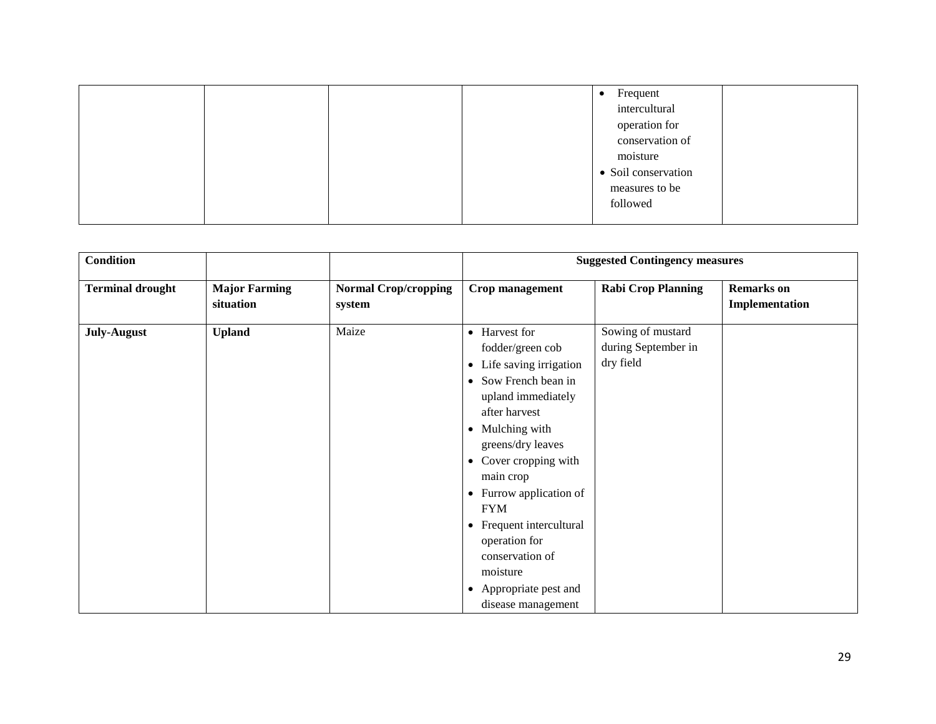|  |  | Frequent<br>$\bullet$ |  |
|--|--|-----------------------|--|
|  |  | intercultural         |  |
|  |  | operation for         |  |
|  |  | conservation of       |  |
|  |  | moisture              |  |
|  |  | • Soil conservation   |  |
|  |  |                       |  |
|  |  | measures to be        |  |
|  |  | followed              |  |
|  |  |                       |  |

| <b>Condition</b>        |                                   |                                       | <b>Suggested Contingency measures</b>                                                                                                                                                                                                                                                                                                                                                                 |                                                       |                                     |
|-------------------------|-----------------------------------|---------------------------------------|-------------------------------------------------------------------------------------------------------------------------------------------------------------------------------------------------------------------------------------------------------------------------------------------------------------------------------------------------------------------------------------------------------|-------------------------------------------------------|-------------------------------------|
| <b>Terminal drought</b> | <b>Major Farming</b><br>situation | <b>Normal Crop/cropping</b><br>system | Crop management                                                                                                                                                                                                                                                                                                                                                                                       | <b>Rabi Crop Planning</b>                             | <b>Remarks</b> on<br>Implementation |
| <b>July-August</b>      | <b>Upland</b>                     | Maize                                 | • Harvest for<br>fodder/green cob<br>Life saving irrigation<br>$\bullet$<br>• Sow French bean in<br>upland immediately<br>after harvest<br>• Mulching with<br>greens/dry leaves<br>• Cover cropping with<br>main crop<br>• Furrow application of<br><b>FYM</b><br>• Frequent intercultural<br>operation for<br>conservation of<br>moisture<br>Appropriate pest and<br>$\bullet$<br>disease management | Sowing of mustard<br>during September in<br>dry field |                                     |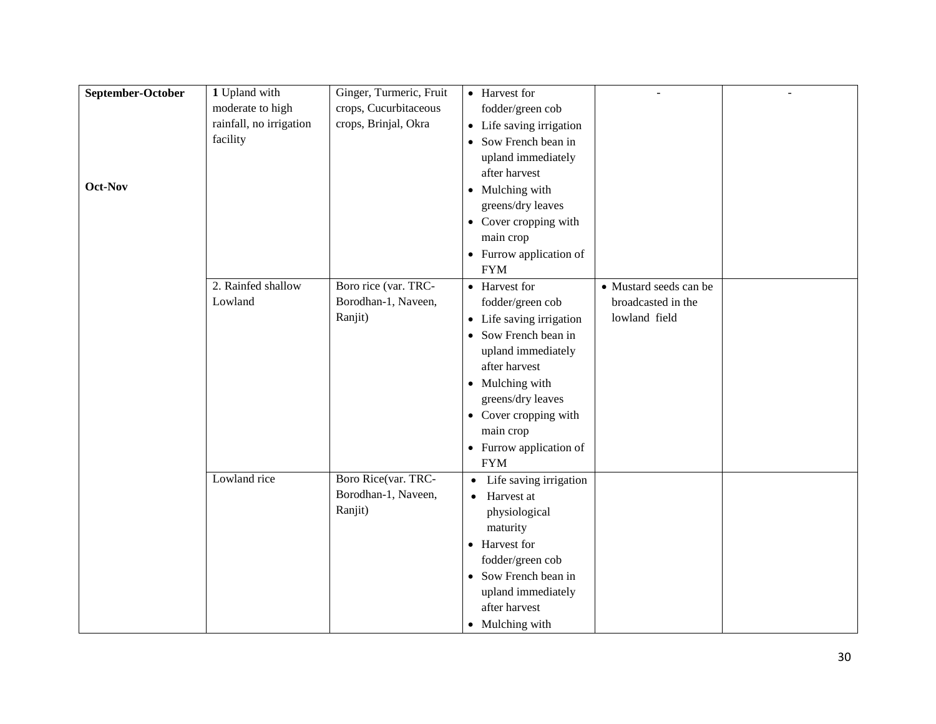| September-October<br>1 Upland with<br>Ginger, Turmeric, Fruit<br>• Harvest for<br>moderate to high<br>crops, Cucurbitaceous<br>fodder/green cob<br>rainfall, no irrigation<br>crops, Brinjal, Okra<br>• Life saving irrigation<br>facility<br>• Sow French bean in |  |
|--------------------------------------------------------------------------------------------------------------------------------------------------------------------------------------------------------------------------------------------------------------------|--|
|                                                                                                                                                                                                                                                                    |  |
|                                                                                                                                                                                                                                                                    |  |
|                                                                                                                                                                                                                                                                    |  |
|                                                                                                                                                                                                                                                                    |  |
| upland immediately                                                                                                                                                                                                                                                 |  |
| after harvest                                                                                                                                                                                                                                                      |  |
| Oct-Nov<br>• Mulching with                                                                                                                                                                                                                                         |  |
| greens/dry leaves                                                                                                                                                                                                                                                  |  |
| • Cover cropping with                                                                                                                                                                                                                                              |  |
| main crop                                                                                                                                                                                                                                                          |  |
| • Furrow application of                                                                                                                                                                                                                                            |  |
| <b>FYM</b>                                                                                                                                                                                                                                                         |  |
| 2. Rainfed shallow<br>Boro rice (var. TRC-<br>• Harvest for<br>• Mustard seeds can be                                                                                                                                                                              |  |
| Borodhan-1, Naveen,<br>Lowland<br>fodder/green cob<br>broadcasted in the                                                                                                                                                                                           |  |
| Ranjit)<br>lowland field<br>• Life saving irrigation                                                                                                                                                                                                               |  |
| • Sow French bean in                                                                                                                                                                                                                                               |  |
| upland immediately                                                                                                                                                                                                                                                 |  |
| after harvest                                                                                                                                                                                                                                                      |  |
|                                                                                                                                                                                                                                                                    |  |
| • Mulching with                                                                                                                                                                                                                                                    |  |
| greens/dry leaves                                                                                                                                                                                                                                                  |  |
| • Cover cropping with                                                                                                                                                                                                                                              |  |
| main crop                                                                                                                                                                                                                                                          |  |
| • Furrow application of                                                                                                                                                                                                                                            |  |
| <b>FYM</b>                                                                                                                                                                                                                                                         |  |
| Lowland rice<br>Boro Rice(var. TRC-<br>Life saving irrigation<br>$\bullet$                                                                                                                                                                                         |  |
| Borodhan-1, Naveen,<br>• Harvest at                                                                                                                                                                                                                                |  |
| Ranjit)<br>physiological                                                                                                                                                                                                                                           |  |
| maturity                                                                                                                                                                                                                                                           |  |
| • Harvest for                                                                                                                                                                                                                                                      |  |
| fodder/green cob                                                                                                                                                                                                                                                   |  |
| • Sow French bean in                                                                                                                                                                                                                                               |  |
| upland immediately                                                                                                                                                                                                                                                 |  |
| after harvest                                                                                                                                                                                                                                                      |  |
| • Mulching with                                                                                                                                                                                                                                                    |  |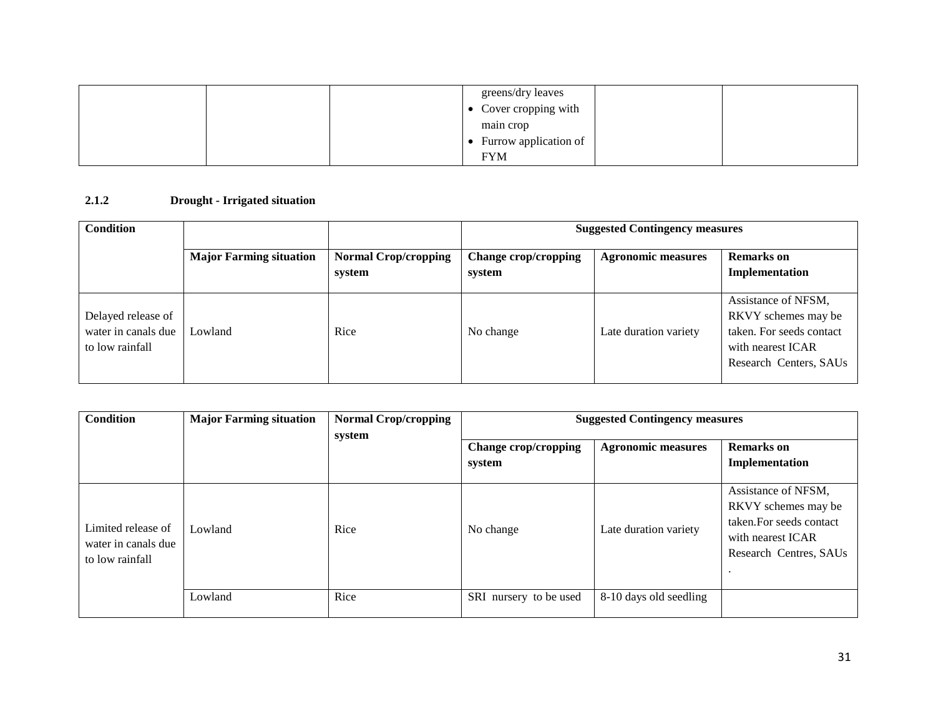|  | greens/dry leaves     |  |
|--|-----------------------|--|
|  | • Cover cropping with |  |
|  | main crop             |  |
|  | Furrow application of |  |
|  | <b>FYM</b>            |  |

### **2.1.2 Drought - Irrigated situation**

| <b>Condition</b>                                             |                                |                                       | <b>Suggested Contingency measures</b> |                           |                                                                                                                       |  |
|--------------------------------------------------------------|--------------------------------|---------------------------------------|---------------------------------------|---------------------------|-----------------------------------------------------------------------------------------------------------------------|--|
|                                                              | <b>Major Farming situation</b> | <b>Normal Crop/cropping</b><br>system | <b>Change crop/cropping</b><br>system | <b>Agronomic measures</b> | <b>Remarks</b> on<br>Implementation                                                                                   |  |
| Delayed release of<br>water in canals due<br>to low rainfall | Lowland                        | Rice                                  | No change                             | Late duration variety     | Assistance of NFSM.<br>RKVY schemes may be<br>taken. For seeds contact<br>with nearest ICAR<br>Research Centers, SAUs |  |

| Condition                                                    | <b>Major Farming situation</b> | <b>Normal Crop/cropping</b><br>system | <b>Suggested Contingency measures</b> |                           |                                                                                                                       |
|--------------------------------------------------------------|--------------------------------|---------------------------------------|---------------------------------------|---------------------------|-----------------------------------------------------------------------------------------------------------------------|
|                                                              |                                |                                       | Change crop/cropping<br>system        | <b>Agronomic measures</b> | <b>Remarks</b> on<br>Implementation                                                                                   |
| Limited release of<br>water in canals due<br>to low rainfall | Lowland                        | Rice                                  | No change                             | Late duration variety     | Assistance of NFSM,<br>RKVY schemes may be<br>taken. For seeds contact<br>with nearest ICAR<br>Research Centres, SAUs |
|                                                              | Lowland                        | Rice                                  | SRI nursery to be used                | 8-10 days old seedling    |                                                                                                                       |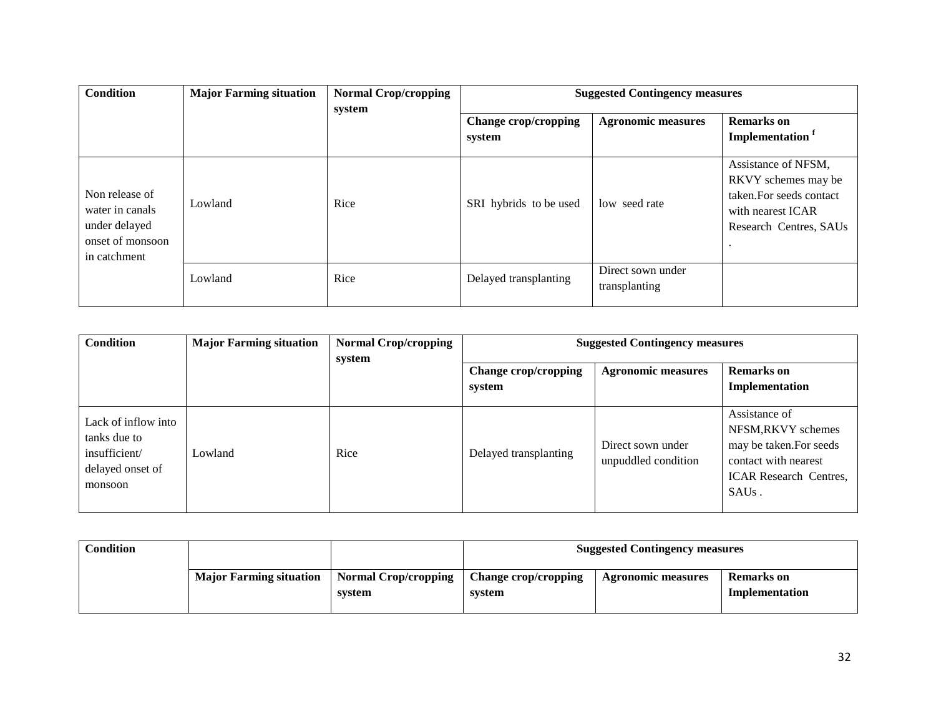| <b>Condition</b>                                                                       | <b>Major Farming situation</b> | <b>Normal Crop/cropping</b><br>system | <b>Suggested Contingency measures</b> |                                    |                                                                                                                       |
|----------------------------------------------------------------------------------------|--------------------------------|---------------------------------------|---------------------------------------|------------------------------------|-----------------------------------------------------------------------------------------------------------------------|
|                                                                                        |                                |                                       | Change crop/cropping<br>system        | <b>Agronomic measures</b>          | <b>Remarks</b> on<br>Implementation <sup>f</sup>                                                                      |
| Non release of<br>water in canals<br>under delayed<br>onset of monsoon<br>in catchment | Lowland                        | Rice                                  | SRI hybrids to be used                | low seed rate                      | Assistance of NFSM,<br>RKVY schemes may be<br>taken. For seeds contact<br>with nearest ICAR<br>Research Centres, SAUs |
|                                                                                        | Lowland                        | Rice                                  | Delayed transplanting                 | Direct sown under<br>transplanting |                                                                                                                       |

| <b>Condition</b>                                                                    | <b>Major Farming situation</b> | <b>Normal Crop/cropping</b><br>system | <b>Suggested Contingency measures</b> |                                          |                                                                                                                                               |
|-------------------------------------------------------------------------------------|--------------------------------|---------------------------------------|---------------------------------------|------------------------------------------|-----------------------------------------------------------------------------------------------------------------------------------------------|
|                                                                                     |                                |                                       | Change crop/cropping<br>system        | <b>Agronomic measures</b>                | <b>Remarks</b> on<br>Implementation                                                                                                           |
| Lack of inflow into<br>tanks due to<br>insufficient/<br>delayed onset of<br>monsoon | Lowland                        | Rice                                  | Delayed transplanting                 | Direct sown under<br>unpuddled condition | Assistance of<br>NFSM, RKVY schemes<br>may be taken. For seeds<br>contact with nearest<br><b>ICAR Research Centres,</b><br>SAU <sub>s</sub> . |

| Condition |                                |                                       | <b>Suggested Contingency measures</b> |                           |                              |
|-----------|--------------------------------|---------------------------------------|---------------------------------------|---------------------------|------------------------------|
|           | <b>Major Farming situation</b> | <b>Normal Crop/cropping</b><br>system | <b>Change crop/cropping</b><br>system | <b>Agronomic measures</b> | Remarks on<br>Implementation |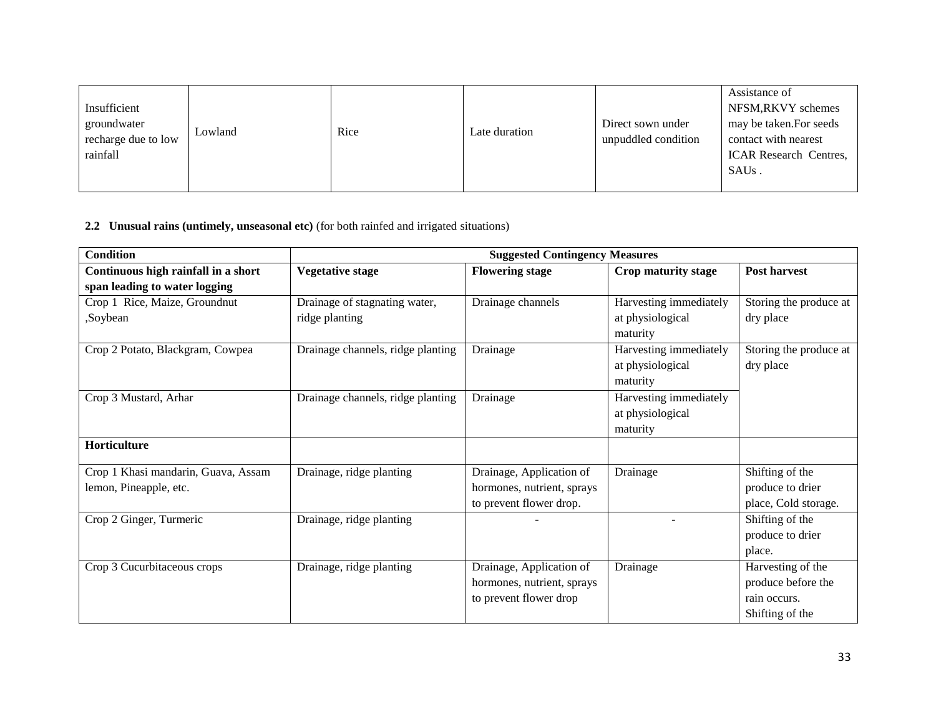| Insufficient<br>groundwater<br>recharge due to low<br>rainfall | Lowland | Rice | Late duration | Direct sown under<br>unpuddled condition | Assistance of<br>NFSM, RKVY schemes<br>may be taken. For seeds<br>contact with nearest<br><b>ICAR Research Centres,</b><br>SAUs. |
|----------------------------------------------------------------|---------|------|---------------|------------------------------------------|----------------------------------------------------------------------------------------------------------------------------------|
|----------------------------------------------------------------|---------|------|---------------|------------------------------------------|----------------------------------------------------------------------------------------------------------------------------------|

### **2.2 Unusual rains (untimely, unseasonal etc)** (for both rainfed and irrigated situations)

| <b>Condition</b>                    | <b>Suggested Contingency Measures</b> |                            |                              |                        |  |  |
|-------------------------------------|---------------------------------------|----------------------------|------------------------------|------------------------|--|--|
| Continuous high rainfall in a short | <b>Vegetative stage</b>               | <b>Flowering stage</b>     | Crop maturity stage          | <b>Post harvest</b>    |  |  |
| span leading to water logging       |                                       |                            |                              |                        |  |  |
| Crop 1 Rice, Maize, Groundnut       | Drainage of stagnating water,         | Drainage channels          | Harvesting immediately       | Storing the produce at |  |  |
| Soybean,                            | ridge planting                        |                            | at physiological<br>maturity | dry place              |  |  |
| Crop 2 Potato, Blackgram, Cowpea    | Drainage channels, ridge planting     | Drainage                   | Harvesting immediately       | Storing the produce at |  |  |
|                                     |                                       |                            | at physiological<br>maturity | dry place              |  |  |
| Crop 3 Mustard, Arhar               | Drainage channels, ridge planting     | Drainage                   | Harvesting immediately       |                        |  |  |
|                                     |                                       |                            | at physiological             |                        |  |  |
|                                     |                                       |                            | maturity                     |                        |  |  |
| Horticulture                        |                                       |                            |                              |                        |  |  |
| Crop 1 Khasi mandarin, Guava, Assam | Drainage, ridge planting              | Drainage, Application of   | Drainage                     | Shifting of the        |  |  |
| lemon, Pineapple, etc.              |                                       | hormones, nutrient, sprays |                              | produce to drier       |  |  |
|                                     |                                       | to prevent flower drop.    |                              | place, Cold storage.   |  |  |
| Crop 2 Ginger, Turmeric             | Drainage, ridge planting              |                            |                              | Shifting of the        |  |  |
|                                     |                                       |                            |                              | produce to drier       |  |  |
|                                     |                                       |                            |                              | place.                 |  |  |
| Crop 3 Cucurbitaceous crops         | Drainage, ridge planting              | Drainage, Application of   | Drainage                     | Harvesting of the      |  |  |
|                                     |                                       | hormones, nutrient, sprays |                              | produce before the     |  |  |
|                                     |                                       | to prevent flower drop     |                              | rain occurs.           |  |  |
|                                     |                                       |                            |                              | Shifting of the        |  |  |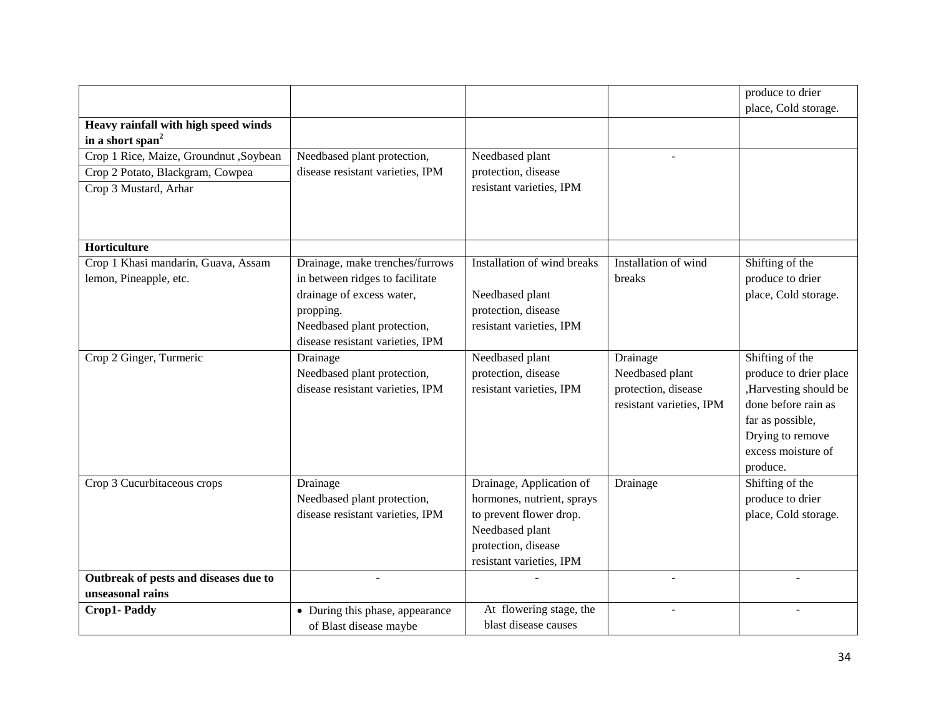|                                        |                                  |                             |                          | produce to drier       |
|----------------------------------------|----------------------------------|-----------------------------|--------------------------|------------------------|
|                                        |                                  |                             |                          | place, Cold storage.   |
| Heavy rainfall with high speed winds   |                                  |                             |                          |                        |
| in a short span <sup>2</sup>           |                                  |                             |                          |                        |
| Crop 1 Rice, Maize, Groundnut ,Soybean | Needbased plant protection,      | Needbased plant             |                          |                        |
| Crop 2 Potato, Blackgram, Cowpea       | disease resistant varieties, IPM | protection, disease         |                          |                        |
| Crop 3 Mustard, Arhar                  |                                  | resistant varieties, IPM    |                          |                        |
|                                        |                                  |                             |                          |                        |
|                                        |                                  |                             |                          |                        |
|                                        |                                  |                             |                          |                        |
| Horticulture                           |                                  |                             |                          |                        |
| Crop 1 Khasi mandarin, Guava, Assam    | Drainage, make trenches/furrows  | Installation of wind breaks | Installation of wind     | Shifting of the        |
| lemon, Pineapple, etc.                 | in between ridges to facilitate  |                             | breaks                   | produce to drier       |
|                                        | drainage of excess water,        | Needbased plant             |                          | place, Cold storage.   |
|                                        | propping.                        | protection, disease         |                          |                        |
|                                        | Needbased plant protection,      | resistant varieties, IPM    |                          |                        |
|                                        | disease resistant varieties, IPM |                             |                          |                        |
| Crop 2 Ginger, Turmeric                | Drainage                         | Needbased plant             | Drainage                 | Shifting of the        |
|                                        | Needbased plant protection,      | protection, disease         | Needbased plant          | produce to drier place |
|                                        | disease resistant varieties, IPM | resistant varieties, IPM    | protection, disease      | ,Harvesting should be  |
|                                        |                                  |                             | resistant varieties, IPM | done before rain as    |
|                                        |                                  |                             |                          | far as possible,       |
|                                        |                                  |                             |                          | Drying to remove       |
|                                        |                                  |                             |                          | excess moisture of     |
|                                        |                                  |                             |                          | produce.               |
| Crop 3 Cucurbitaceous crops            | Drainage                         | Drainage, Application of    | Drainage                 | Shifting of the        |
|                                        | Needbased plant protection,      | hormones, nutrient, sprays  |                          | produce to drier       |
|                                        | disease resistant varieties, IPM | to prevent flower drop.     |                          | place, Cold storage.   |
|                                        |                                  | Needbased plant             |                          |                        |
|                                        |                                  | protection, disease         |                          |                        |
|                                        |                                  | resistant varieties, IPM    |                          |                        |
| Outbreak of pests and diseases due to  |                                  |                             | $\sim$                   | $\blacksquare$         |
| unseasonal rains                       |                                  |                             |                          |                        |
| Crop1-Paddy                            | • During this phase, appearance  | At flowering stage, the     |                          |                        |
|                                        | of Blast disease maybe           | blast disease causes        |                          |                        |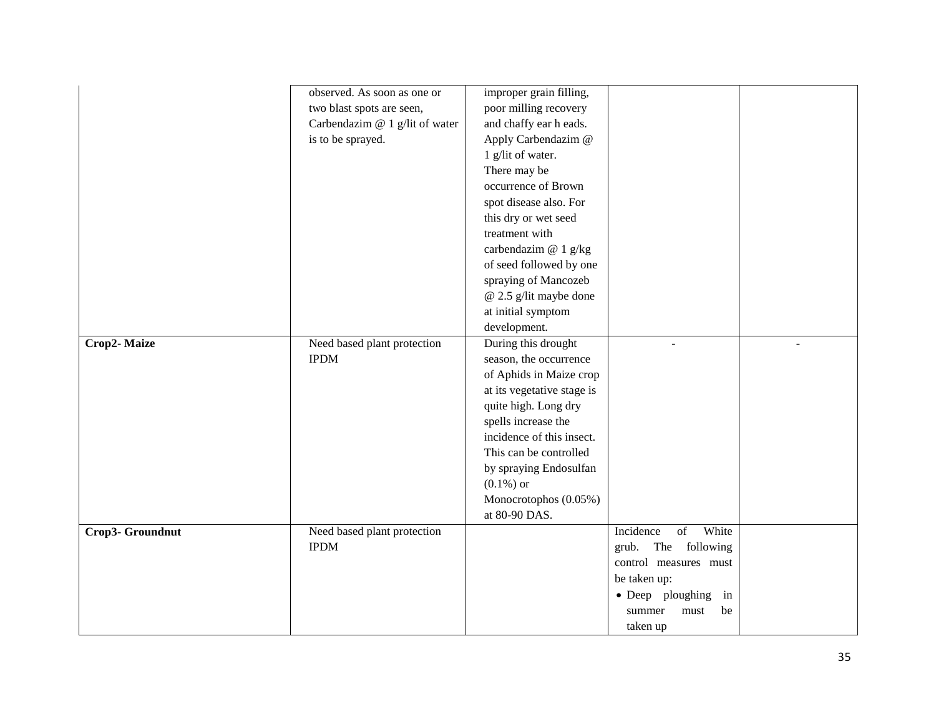|                  | observed. As soon as one or    | improper grain filling,    |                          |  |
|------------------|--------------------------------|----------------------------|--------------------------|--|
|                  | two blast spots are seen,      | poor milling recovery      |                          |  |
|                  | Carbendazim @ 1 g/lit of water | and chaffy ear h eads.     |                          |  |
|                  | is to be sprayed.              | Apply Carbendazim @        |                          |  |
|                  |                                | 1 g/lit of water.          |                          |  |
|                  |                                | There may be               |                          |  |
|                  |                                | occurrence of Brown        |                          |  |
|                  |                                | spot disease also. For     |                          |  |
|                  |                                | this dry or wet seed       |                          |  |
|                  |                                | treatment with             |                          |  |
|                  |                                | carbendazim @ 1 g/kg       |                          |  |
|                  |                                | of seed followed by one    |                          |  |
|                  |                                | spraying of Mancozeb       |                          |  |
|                  |                                | @ 2.5 g/lit maybe done     |                          |  |
|                  |                                | at initial symptom         |                          |  |
|                  |                                | development.               |                          |  |
| Crop2-Maize      | Need based plant protection    | During this drought        | ÷.                       |  |
|                  | <b>IPDM</b>                    | season, the occurrence     |                          |  |
|                  |                                | of Aphids in Maize crop    |                          |  |
|                  |                                | at its vegetative stage is |                          |  |
|                  |                                | quite high. Long dry       |                          |  |
|                  |                                | spells increase the        |                          |  |
|                  |                                | incidence of this insect.  |                          |  |
|                  |                                | This can be controlled     |                          |  |
|                  |                                | by spraying Endosulfan     |                          |  |
|                  |                                | $(0.1\%)$ or               |                          |  |
|                  |                                | Monocrotophos (0.05%)      |                          |  |
|                  |                                | at 80-90 DAS.              |                          |  |
| Crop3- Groundnut | Need based plant protection    |                            | White<br>Incidence<br>of |  |
|                  | <b>IPDM</b>                    |                            | The following<br>grub.   |  |
|                  |                                |                            | control measures must    |  |
|                  |                                |                            | be taken up:             |  |
|                  |                                |                            | • Deep ploughing<br>in   |  |
|                  |                                |                            | summer<br>must<br>be     |  |
|                  |                                |                            | taken up                 |  |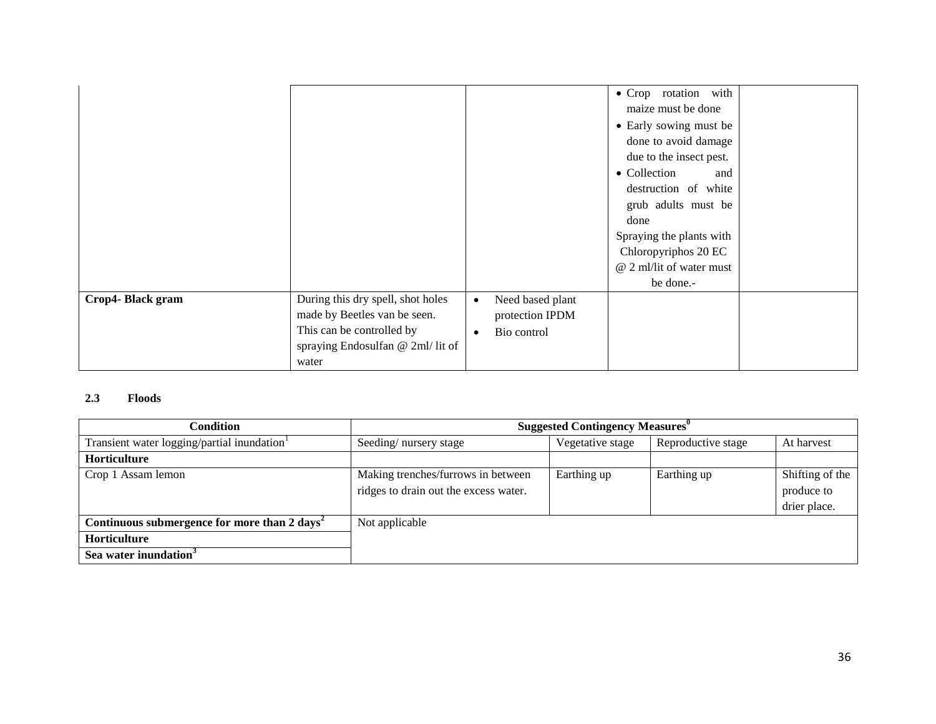| Chloropyriphos 20 EC<br>@ 2 ml/lit of water must<br>be done.-<br>During this dry spell, shot holes<br>Crop4-Black gram<br>Need based plant<br>$\bullet$<br>made by Beetles van be seen.<br>protection IPDM<br>This can be controlled by<br>Bio control<br>$\bullet$<br>spraying Endosulfan @ 2ml/ lit of |  |  | · Crop rotation with<br>maize must be done<br>• Early sowing must be<br>done to avoid damage<br>due to the insect pest.<br>• Collection<br>and<br>destruction of white<br>grub adults must be<br>done<br>Spraying the plants with |  |
|----------------------------------------------------------------------------------------------------------------------------------------------------------------------------------------------------------------------------------------------------------------------------------------------------------|--|--|-----------------------------------------------------------------------------------------------------------------------------------------------------------------------------------------------------------------------------------|--|
|                                                                                                                                                                                                                                                                                                          |  |  |                                                                                                                                                                                                                                   |  |
|                                                                                                                                                                                                                                                                                                          |  |  |                                                                                                                                                                                                                                   |  |
| water                                                                                                                                                                                                                                                                                                    |  |  |                                                                                                                                                                                                                                   |  |

#### **2.3 Floods**

| Condition                                               | <b>Suggested Contingency Measures</b> <sup>0</sup> |                  |                    |                 |
|---------------------------------------------------------|----------------------------------------------------|------------------|--------------------|-----------------|
| Transient water logging/partial inundation              | Seeding/nursery stage                              | Vegetative stage | Reproductive stage | At harvest      |
| <b>Horticulture</b>                                     |                                                    |                  |                    |                 |
| Crop 1 Assam lemon                                      | Making trenches/furrows in between                 | Earthing up      | Earthing up        | Shifting of the |
|                                                         | ridges to drain out the excess water.              |                  |                    | produce to      |
|                                                         |                                                    |                  |                    | drier place.    |
| Continuous submergence for more than $2 \text{ days}^2$ | Not applicable                                     |                  |                    |                 |
| <b>Horticulture</b>                                     |                                                    |                  |                    |                 |
| Sea water inundation <sup>3</sup>                       |                                                    |                  |                    |                 |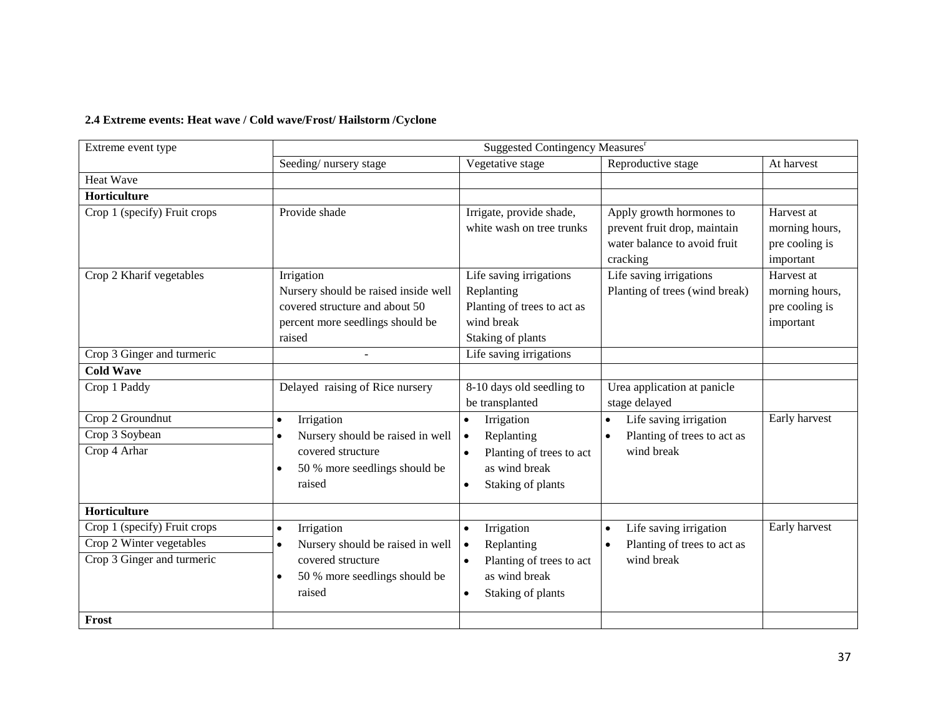## **2.4 Extreme events: Heat wave / Cold wave/Frost/ Hailstorm /Cyclone**

| Extreme event type           | Suggested Contingency Measures <sup>r</sup>   |                                                       |                                                                                                      |                                                             |
|------------------------------|-----------------------------------------------|-------------------------------------------------------|------------------------------------------------------------------------------------------------------|-------------------------------------------------------------|
|                              | Seeding/nursery stage                         | Vegetative stage                                      | Reproductive stage                                                                                   | At harvest                                                  |
| Heat Wave                    |                                               |                                                       |                                                                                                      |                                                             |
| Horticulture                 |                                               |                                                       |                                                                                                      |                                                             |
| Crop 1 (specify) Fruit crops | Provide shade                                 | Irrigate, provide shade,<br>white wash on tree trunks | Apply growth hormones to<br>prevent fruit drop, maintain<br>water balance to avoid fruit<br>cracking | Harvest at<br>morning hours,<br>pre cooling is<br>important |
| Crop 2 Kharif vegetables     | Irrigation                                    | Life saving irrigations                               | Life saving irrigations                                                                              | Harvest at                                                  |
|                              | Nursery should be raised inside well          | Replanting                                            | Planting of trees (wind break)                                                                       | morning hours,                                              |
|                              | covered structure and about 50                | Planting of trees to act as                           |                                                                                                      | pre cooling is                                              |
|                              | percent more seedlings should be              | wind break                                            |                                                                                                      | important                                                   |
|                              | raised                                        | Staking of plants                                     |                                                                                                      |                                                             |
| Crop 3 Ginger and turmeric   |                                               | Life saving irrigations                               |                                                                                                      |                                                             |
| <b>Cold Wave</b>             |                                               |                                                       |                                                                                                      |                                                             |
| Crop 1 Paddy                 | Delayed raising of Rice nursery               | 8-10 days old seedling to                             | Urea application at panicle                                                                          |                                                             |
|                              |                                               | be transplanted                                       | stage delayed                                                                                        |                                                             |
| Crop 2 Groundnut             | Irrigation<br>$\bullet$                       | Irrigation                                            | Life saving irrigation                                                                               | Early harvest                                               |
| Crop 3 Soybean               | Nursery should be raised in well<br>$\bullet$ | Replanting<br>$\bullet$                               | Planting of trees to act as                                                                          |                                                             |
| Crop 4 Arhar                 | covered structure                             | Planting of trees to act                              | wind break                                                                                           |                                                             |
|                              | 50 % more seedlings should be<br>$\bullet$    | as wind break                                         |                                                                                                      |                                                             |
|                              | raised                                        | Staking of plants                                     |                                                                                                      |                                                             |
| Horticulture                 |                                               |                                                       |                                                                                                      |                                                             |
| Crop 1 (specify) Fruit crops | Irrigation<br>$\bullet$                       | Irrigation<br>$\bullet$                               | Life saving irrigation<br>$\bullet$                                                                  | Early harvest                                               |
| Crop 2 Winter vegetables     | Nursery should be raised in well<br>$\bullet$ | Replanting<br>$\bullet$                               | Planting of trees to act as                                                                          |                                                             |
| Crop 3 Ginger and turmeric   | covered structure                             | Planting of trees to act                              | wind break                                                                                           |                                                             |
|                              | 50 % more seedlings should be                 | as wind break                                         |                                                                                                      |                                                             |
|                              | raised                                        | Staking of plants<br>$\bullet$                        |                                                                                                      |                                                             |
| Frost                        |                                               |                                                       |                                                                                                      |                                                             |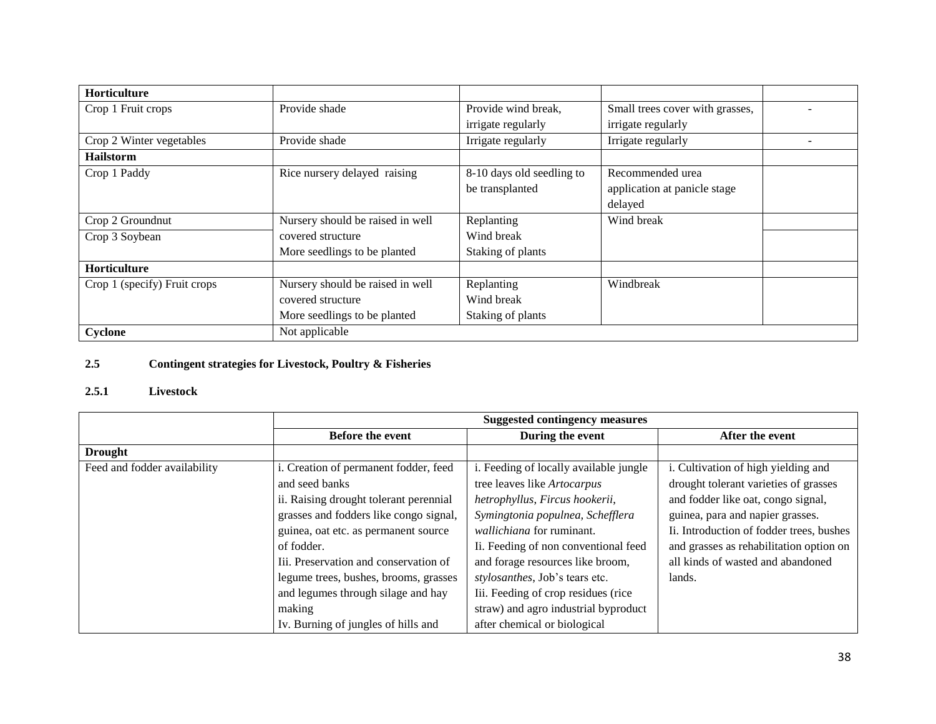| <b>Horticulture</b>          |                                  |                           |                                 |  |
|------------------------------|----------------------------------|---------------------------|---------------------------------|--|
| Crop 1 Fruit crops           | Provide shade                    | Provide wind break,       | Small trees cover with grasses, |  |
|                              |                                  | irrigate regularly        | irrigate regularly              |  |
| Crop 2 Winter vegetables     | Provide shade                    | Irrigate regularly        | Irrigate regularly              |  |
| <b>Hailstorm</b>             |                                  |                           |                                 |  |
| Crop 1 Paddy                 | Rice nursery delayed raising     | 8-10 days old seedling to | Recommended urea                |  |
|                              |                                  | be transplanted           | application at panicle stage    |  |
|                              |                                  |                           | delayed                         |  |
| Crop 2 Groundnut             | Nursery should be raised in well | Replanting                | Wind break                      |  |
| Crop 3 Soybean               | covered structure                | Wind break                |                                 |  |
|                              | More seedlings to be planted     | Staking of plants         |                                 |  |
| Horticulture                 |                                  |                           |                                 |  |
| Crop 1 (specify) Fruit crops | Nursery should be raised in well | Replanting                | Windbreak                       |  |
|                              | covered structure                | Wind break                |                                 |  |
|                              | More seedlings to be planted     | Staking of plants         |                                 |  |
| Cyclone                      | Not applicable                   |                           |                                 |  |

# **2.5 Contingent strategies for Livestock, Poultry & Fisheries**

### **2.5.1 Livestock**

|                              | <b>Suggested contingency measures</b>  |                                        |                                          |  |  |
|------------------------------|----------------------------------------|----------------------------------------|------------------------------------------|--|--|
|                              | <b>Before the event</b>                | During the event                       | After the event                          |  |  |
| <b>Drought</b>               |                                        |                                        |                                          |  |  |
| Feed and fodder availability | i. Creation of permanent fodder, feed  | i. Feeding of locally available jungle | i. Cultivation of high yielding and      |  |  |
|                              | and seed banks                         | tree leaves like Artocarpus            | drought tolerant varieties of grasses    |  |  |
|                              | ii. Raising drought tolerant perennial | hetrophyllus, Fircus hookerii,         | and fodder like oat, congo signal,       |  |  |
|                              | grasses and fodders like congo signal, | Symingtonia populnea, Schefflera       | guinea, para and napier grasses.         |  |  |
|                              | guinea, oat etc. as permanent source   | <i>wallichiana</i> for ruminant.       | Ii. Introduction of fodder trees, bushes |  |  |
|                              | of fodder.                             | Ii. Feeding of non conventional feed   | and grasses as rehabilitation option on  |  |  |
|                              | Iii. Preservation and conservation of  | and forage resources like broom,       | all kinds of wasted and abandoned        |  |  |
|                              | legume trees, bushes, brooms, grasses  | stylosanthes, Job's tears etc.         | lands.                                   |  |  |
|                              | and legumes through silage and hay     | Iii. Feeding of crop residues (rice    |                                          |  |  |
|                              | making                                 | straw) and agro industrial byproduct   |                                          |  |  |
|                              | Iv. Burning of jungles of hills and    | after chemical or biological           |                                          |  |  |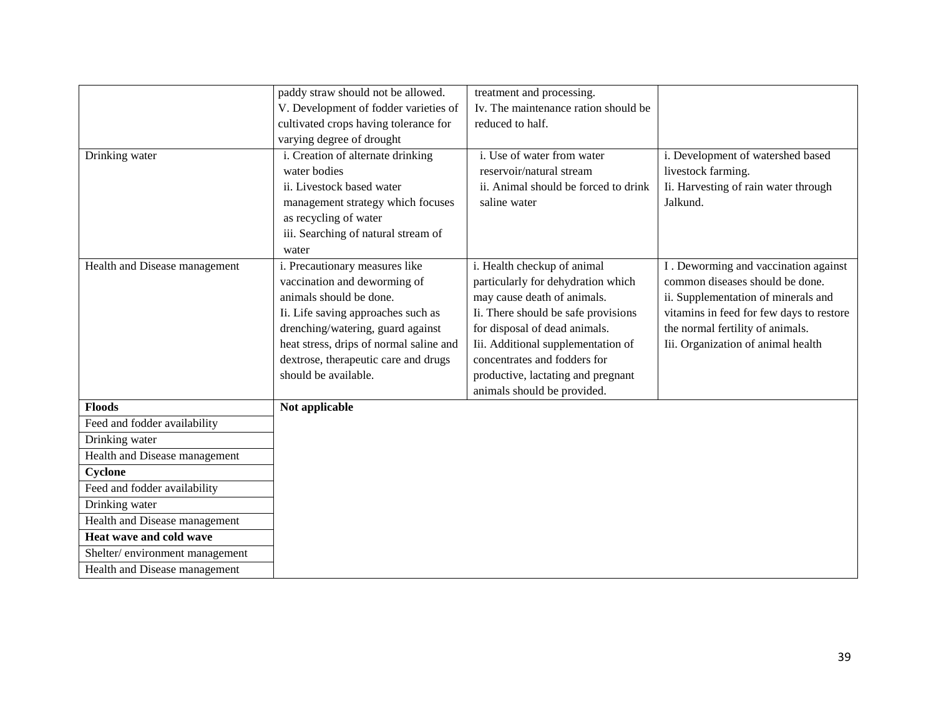|                                | paddy straw should not be allowed.      | treatment and processing.            |                                          |
|--------------------------------|-----------------------------------------|--------------------------------------|------------------------------------------|
|                                | V. Development of fodder varieties of   | Iv. The maintenance ration should be |                                          |
|                                | cultivated crops having tolerance for   | reduced to half.                     |                                          |
|                                | varying degree of drought               |                                      |                                          |
| Drinking water                 | i. Creation of alternate drinking       | i. Use of water from water           | i. Development of watershed based        |
|                                | water bodies                            | reservoir/natural stream             | livestock farming.                       |
|                                | ii. Livestock based water               | ii. Animal should be forced to drink | Ii. Harvesting of rain water through     |
|                                | management strategy which focuses       | saline water                         | Jalkund.                                 |
|                                | as recycling of water                   |                                      |                                          |
|                                | iii. Searching of natural stream of     |                                      |                                          |
|                                | water                                   |                                      |                                          |
| Health and Disease management  | i. Precautionary measures like          | i. Health checkup of animal          | I. Deworming and vaccination against     |
|                                | vaccination and deworming of            | particularly for dehydration which   | common diseases should be done.          |
|                                | animals should be done.                 | may cause death of animals.          | ii. Supplementation of minerals and      |
|                                | Ii. Life saving approaches such as      | Ii. There should be safe provisions  | vitamins in feed for few days to restore |
|                                | drenching/watering, guard against       | for disposal of dead animals.        | the normal fertility of animals.         |
|                                | heat stress, drips of normal saline and | Iii. Additional supplementation of   | Iii. Organization of animal health       |
|                                | dextrose, therapeutic care and drugs    | concentrates and fodders for         |                                          |
|                                | should be available.                    | productive, lactating and pregnant   |                                          |
|                                |                                         | animals should be provided.          |                                          |
| <b>Floods</b>                  | Not applicable                          |                                      |                                          |
| Feed and fodder availability   |                                         |                                      |                                          |
| Drinking water                 |                                         |                                      |                                          |
| Health and Disease management  |                                         |                                      |                                          |
| Cyclone                        |                                         |                                      |                                          |
| Feed and fodder availability   |                                         |                                      |                                          |
| Drinking water                 |                                         |                                      |                                          |
| Health and Disease management  |                                         |                                      |                                          |
| Heat wave and cold wave        |                                         |                                      |                                          |
| Shelter/environment management |                                         |                                      |                                          |
| Health and Disease management  |                                         |                                      |                                          |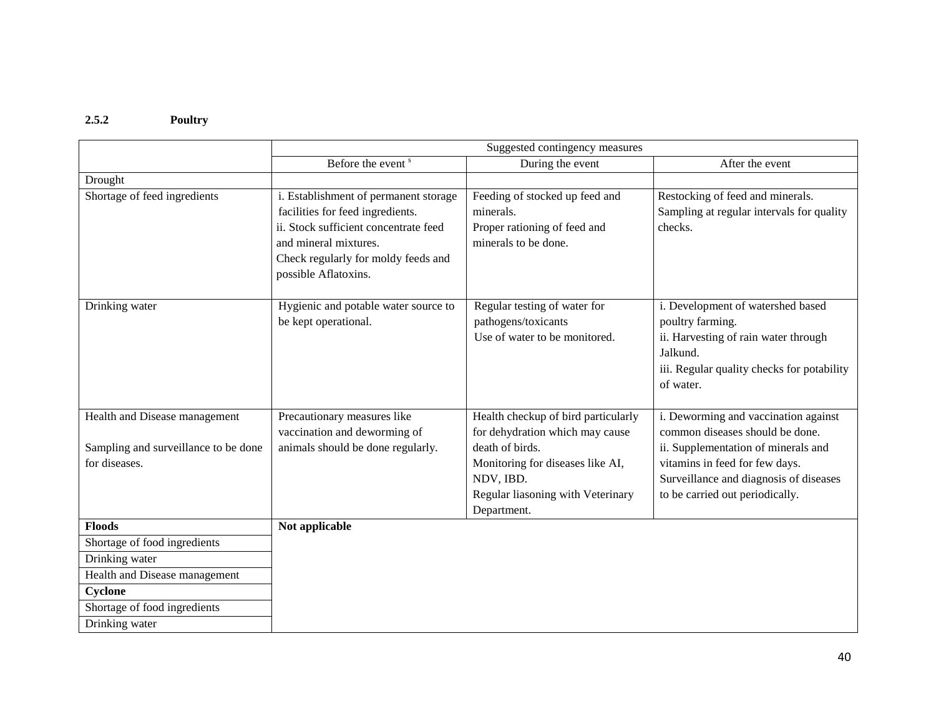### **2.5.2 Poultry**

|                                      | Suggested contingency measures        |                                               |                                            |  |  |
|--------------------------------------|---------------------------------------|-----------------------------------------------|--------------------------------------------|--|--|
|                                      | Before the event <sup>s</sup>         | During the event                              | After the event                            |  |  |
| Drought                              |                                       |                                               |                                            |  |  |
| Shortage of feed ingredients         | i. Establishment of permanent storage | Feeding of stocked up feed and                | Restocking of feed and minerals.           |  |  |
|                                      | facilities for feed ingredients.      | minerals.                                     | Sampling at regular intervals for quality  |  |  |
|                                      | ii. Stock sufficient concentrate feed | Proper rationing of feed and                  | checks.                                    |  |  |
|                                      | and mineral mixtures.                 | minerals to be done.                          |                                            |  |  |
|                                      | Check regularly for moldy feeds and   |                                               |                                            |  |  |
|                                      | possible Aflatoxins.                  |                                               |                                            |  |  |
|                                      |                                       |                                               |                                            |  |  |
| Drinking water                       | Hygienic and potable water source to  | Regular testing of water for                  | i. Development of watershed based          |  |  |
|                                      | be kept operational.                  | pathogens/toxicants                           | poultry farming.                           |  |  |
|                                      |                                       | Use of water to be monitored.                 | ii. Harvesting of rain water through       |  |  |
|                                      |                                       |                                               | Jalkund.                                   |  |  |
|                                      |                                       |                                               | iii. Regular quality checks for potability |  |  |
|                                      |                                       |                                               | of water.                                  |  |  |
|                                      |                                       |                                               |                                            |  |  |
| Health and Disease management        | Precautionary measures like           | Health checkup of bird particularly           | i. Deworming and vaccination against       |  |  |
|                                      | vaccination and deworming of          | for dehydration which may cause               | common diseases should be done.            |  |  |
| Sampling and surveillance to be done | animals should be done regularly.     | death of birds.                               | ii. Supplementation of minerals and        |  |  |
| for diseases.                        |                                       | Monitoring for diseases like AI,<br>NDV, IBD. | vitamins in feed for few days.             |  |  |
|                                      |                                       |                                               | Surveillance and diagnosis of diseases     |  |  |
|                                      |                                       | Regular liasoning with Veterinary             | to be carried out periodically.            |  |  |
| <b>Floods</b>                        | Not applicable                        | Department.                                   |                                            |  |  |
| Shortage of food ingredients         |                                       |                                               |                                            |  |  |
|                                      |                                       |                                               |                                            |  |  |
| Drinking water                       |                                       |                                               |                                            |  |  |
| Health and Disease management        |                                       |                                               |                                            |  |  |
| Cyclone                              |                                       |                                               |                                            |  |  |
| Shortage of food ingredients         |                                       |                                               |                                            |  |  |
| Drinking water                       |                                       |                                               |                                            |  |  |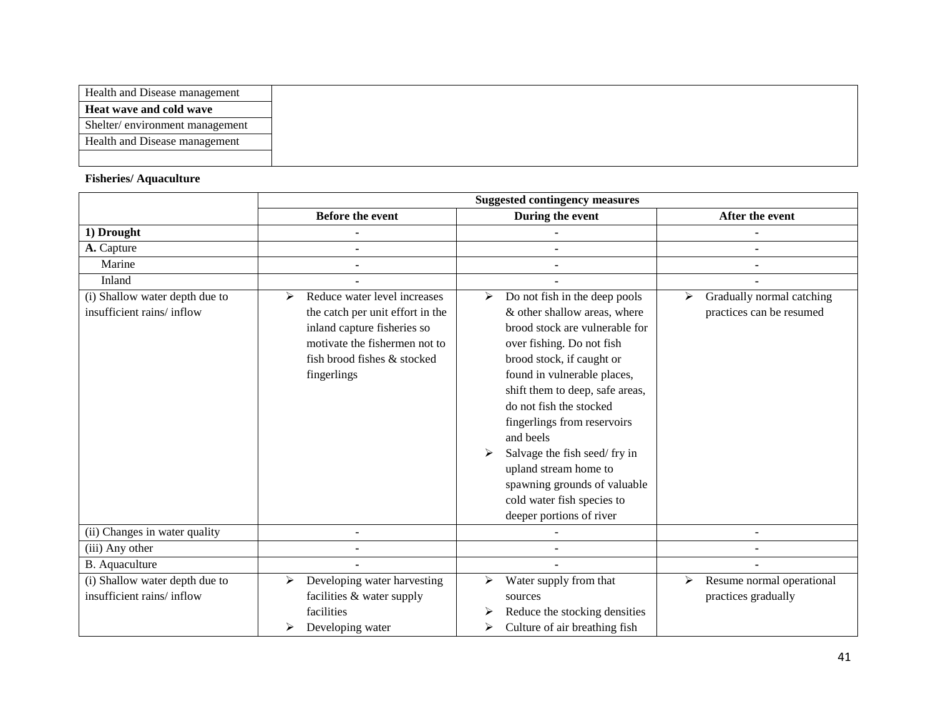| Health and Disease management  |
|--------------------------------|
| Heat wave and cold wave        |
| Shelter/environment management |
| Health and Disease management  |
|                                |

## **Fisheries/ Aquaculture**

|                                                             | <b>Suggested contingency measures</b>                                                                                                                                               |                                                                                                                                                                                                                                                                                                                                                                                                                                                            |                                                            |  |
|-------------------------------------------------------------|-------------------------------------------------------------------------------------------------------------------------------------------------------------------------------------|------------------------------------------------------------------------------------------------------------------------------------------------------------------------------------------------------------------------------------------------------------------------------------------------------------------------------------------------------------------------------------------------------------------------------------------------------------|------------------------------------------------------------|--|
|                                                             | <b>Before the event</b>                                                                                                                                                             | During the event                                                                                                                                                                                                                                                                                                                                                                                                                                           | After the event                                            |  |
| 1) Drought                                                  |                                                                                                                                                                                     |                                                                                                                                                                                                                                                                                                                                                                                                                                                            |                                                            |  |
| A. Capture                                                  | $\blacksquare$                                                                                                                                                                      |                                                                                                                                                                                                                                                                                                                                                                                                                                                            |                                                            |  |
| Marine                                                      |                                                                                                                                                                                     |                                                                                                                                                                                                                                                                                                                                                                                                                                                            |                                                            |  |
| Inland                                                      |                                                                                                                                                                                     |                                                                                                                                                                                                                                                                                                                                                                                                                                                            |                                                            |  |
| (i) Shallow water depth due to<br>insufficient rains/inflow | Reduce water level increases<br>⋗<br>the catch per unit effort in the<br>inland capture fisheries so<br>motivate the fishermen not to<br>fish brood fishes & stocked<br>fingerlings | Do not fish in the deep pools<br>➤<br>& other shallow areas, where<br>brood stock are vulnerable for<br>over fishing. Do not fish<br>brood stock, if caught or<br>found in vulnerable places,<br>shift them to deep, safe areas,<br>do not fish the stocked<br>fingerlings from reservoirs<br>and beels<br>Salvage the fish seed/fry in<br>upland stream home to<br>spawning grounds of valuable<br>cold water fish species to<br>deeper portions of river | Gradually normal catching<br>≻<br>practices can be resumed |  |
| (ii) Changes in water quality                               |                                                                                                                                                                                     |                                                                                                                                                                                                                                                                                                                                                                                                                                                            |                                                            |  |
| (iii) Any other                                             |                                                                                                                                                                                     |                                                                                                                                                                                                                                                                                                                                                                                                                                                            |                                                            |  |
| B. Aquaculture                                              |                                                                                                                                                                                     |                                                                                                                                                                                                                                                                                                                                                                                                                                                            |                                                            |  |
| (i) Shallow water depth due to                              | Developing water harvesting<br>≻                                                                                                                                                    | Water supply from that<br>➤                                                                                                                                                                                                                                                                                                                                                                                                                                | Resume normal operational<br>≻                             |  |
| insufficient rains/inflow                                   | facilities & water supply                                                                                                                                                           | sources                                                                                                                                                                                                                                                                                                                                                                                                                                                    | practices gradually                                        |  |
|                                                             | facilities                                                                                                                                                                          | Reduce the stocking densities<br>⋗                                                                                                                                                                                                                                                                                                                                                                                                                         |                                                            |  |
|                                                             | Developing water<br>⋗                                                                                                                                                               | Culture of air breathing fish<br>⋗                                                                                                                                                                                                                                                                                                                                                                                                                         |                                                            |  |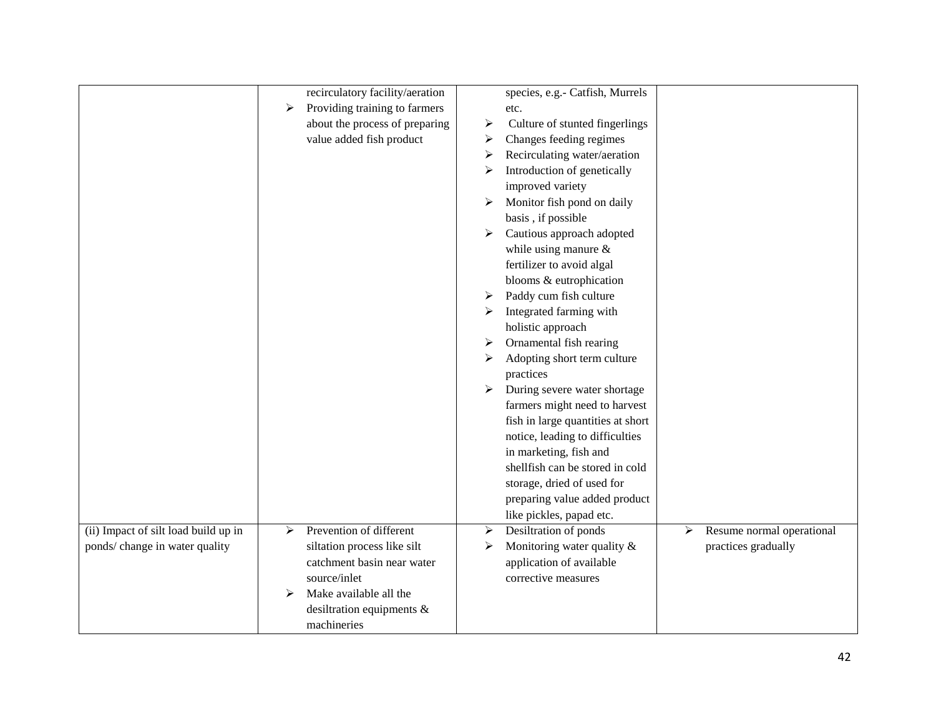|                                      |   | recirculatory facility/aeration |   | species, e.g.- Catfish, Murrels   |   |                           |
|--------------------------------------|---|---------------------------------|---|-----------------------------------|---|---------------------------|
|                                      | ➤ | Providing training to farmers   |   | etc.                              |   |                           |
|                                      |   | about the process of preparing  | ➤ | Culture of stunted fingerlings    |   |                           |
|                                      |   | value added fish product        | ➤ | Changes feeding regimes           |   |                           |
|                                      |   |                                 | ⋗ | Recirculating water/aeration      |   |                           |
|                                      |   |                                 | ⋗ | Introduction of genetically       |   |                           |
|                                      |   |                                 |   | improved variety                  |   |                           |
|                                      |   |                                 | ➤ | Monitor fish pond on daily        |   |                           |
|                                      |   |                                 |   | basis, if possible                |   |                           |
|                                      |   |                                 | ➤ | Cautious approach adopted         |   |                           |
|                                      |   |                                 |   | while using manure $\&$           |   |                           |
|                                      |   |                                 |   | fertilizer to avoid algal         |   |                           |
|                                      |   |                                 |   | blooms & eutrophication           |   |                           |
|                                      |   |                                 | ➤ | Paddy cum fish culture            |   |                           |
|                                      |   |                                 |   | Integrated farming with           |   |                           |
|                                      |   |                                 |   | holistic approach                 |   |                           |
|                                      |   |                                 | ➤ | Ornamental fish rearing           |   |                           |
|                                      |   |                                 | ➤ | Adopting short term culture       |   |                           |
|                                      |   |                                 |   | practices                         |   |                           |
|                                      |   |                                 | ➤ | During severe water shortage      |   |                           |
|                                      |   |                                 |   | farmers might need to harvest     |   |                           |
|                                      |   |                                 |   | fish in large quantities at short |   |                           |
|                                      |   |                                 |   | notice, leading to difficulties   |   |                           |
|                                      |   |                                 |   | in marketing, fish and            |   |                           |
|                                      |   |                                 |   | shellfish can be stored in cold   |   |                           |
|                                      |   |                                 |   | storage, dried of used for        |   |                           |
|                                      |   |                                 |   | preparing value added product     |   |                           |
|                                      |   |                                 |   | like pickles, papad etc.          |   |                           |
| (ii) Impact of silt load build up in | ≻ | Prevention of different         | ➤ | Desiltration of ponds             | ➤ | Resume normal operational |
| ponds/ change in water quality       |   | siltation process like silt     | ➤ | Monitoring water quality &        |   | practices gradually       |
|                                      |   | catchment basin near water      |   | application of available          |   |                           |
|                                      |   | source/inlet                    |   | corrective measures               |   |                           |
|                                      | ⋗ | Make available all the          |   |                                   |   |                           |
|                                      |   | desiltration equipments &       |   |                                   |   |                           |
|                                      |   | machineries                     |   |                                   |   |                           |
|                                      |   |                                 |   |                                   |   |                           |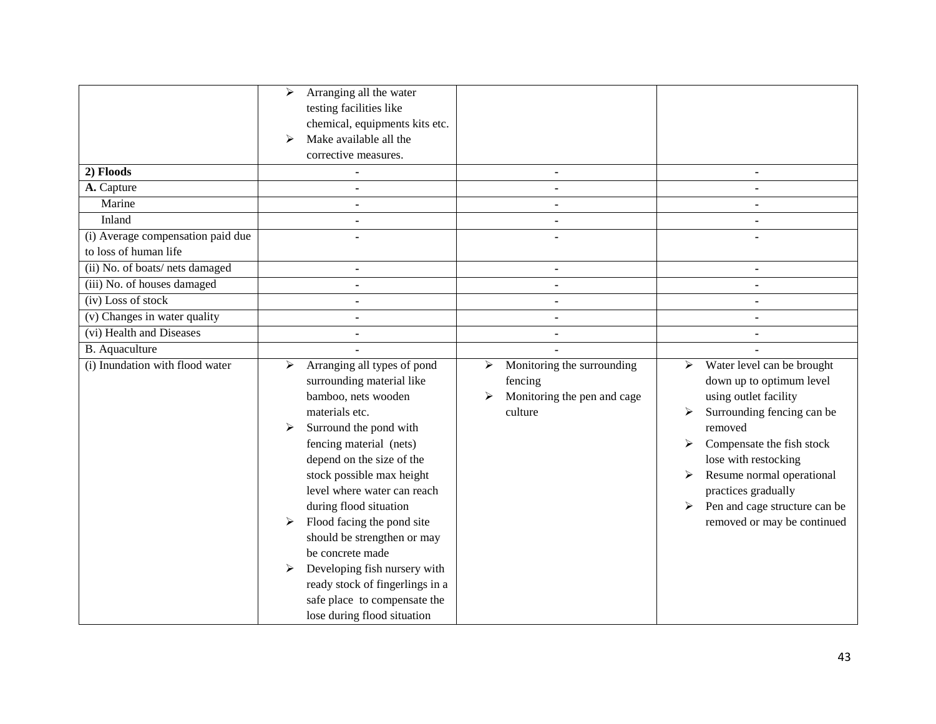| 2) Floods<br>A. Capture<br>Marine                          | Arranging all the water<br>➤<br>testing facilities like<br>chemical, equipments kits etc.<br>Make available all the<br>➤<br>corrective measures.<br>$\blacksquare$                                                                                                                                                                                                                                                                                                                                          | $\blacksquare$                                                                            | $\blacksquare$                                                                                                                                                                                                                                                                                                   |
|------------------------------------------------------------|-------------------------------------------------------------------------------------------------------------------------------------------------------------------------------------------------------------------------------------------------------------------------------------------------------------------------------------------------------------------------------------------------------------------------------------------------------------------------------------------------------------|-------------------------------------------------------------------------------------------|------------------------------------------------------------------------------------------------------------------------------------------------------------------------------------------------------------------------------------------------------------------------------------------------------------------|
| Inland                                                     |                                                                                                                                                                                                                                                                                                                                                                                                                                                                                                             |                                                                                           |                                                                                                                                                                                                                                                                                                                  |
| (i) Average compensation paid due<br>to loss of human life |                                                                                                                                                                                                                                                                                                                                                                                                                                                                                                             |                                                                                           |                                                                                                                                                                                                                                                                                                                  |
| (ii) No. of boats/nets damaged                             |                                                                                                                                                                                                                                                                                                                                                                                                                                                                                                             |                                                                                           |                                                                                                                                                                                                                                                                                                                  |
| (iii) No. of houses damaged                                |                                                                                                                                                                                                                                                                                                                                                                                                                                                                                                             |                                                                                           |                                                                                                                                                                                                                                                                                                                  |
| (iv) Loss of stock                                         |                                                                                                                                                                                                                                                                                                                                                                                                                                                                                                             |                                                                                           |                                                                                                                                                                                                                                                                                                                  |
| (v) Changes in water quality                               | $\blacksquare$                                                                                                                                                                                                                                                                                                                                                                                                                                                                                              |                                                                                           |                                                                                                                                                                                                                                                                                                                  |
| (vi) Health and Diseases                                   |                                                                                                                                                                                                                                                                                                                                                                                                                                                                                                             |                                                                                           |                                                                                                                                                                                                                                                                                                                  |
| <b>B.</b> Aquaculture                                      |                                                                                                                                                                                                                                                                                                                                                                                                                                                                                                             |                                                                                           |                                                                                                                                                                                                                                                                                                                  |
| (i) Inundation with flood water                            | Arranging all types of pond<br>➤<br>surrounding material like<br>bamboo, nets wooden<br>materials etc.<br>Surround the pond with<br>➤<br>fencing material (nets)<br>depend on the size of the<br>stock possible max height<br>level where water can reach<br>during flood situation<br>Flood facing the pond site<br>➤<br>should be strengthen or may<br>be concrete made<br>Developing fish nursery with<br>ready stock of fingerlings in a<br>safe place to compensate the<br>lose during flood situation | Monitoring the surrounding<br>➤<br>fencing<br>Monitoring the pen and cage<br>➤<br>culture | Water level can be brought<br>➤<br>down up to optimum level<br>using outlet facility<br>Surrounding fencing can be<br>➤<br>removed<br>Compensate the fish stock<br>lose with restocking<br>Resume normal operational<br>practices gradually<br>Pen and cage structure can be<br>≻<br>removed or may be continued |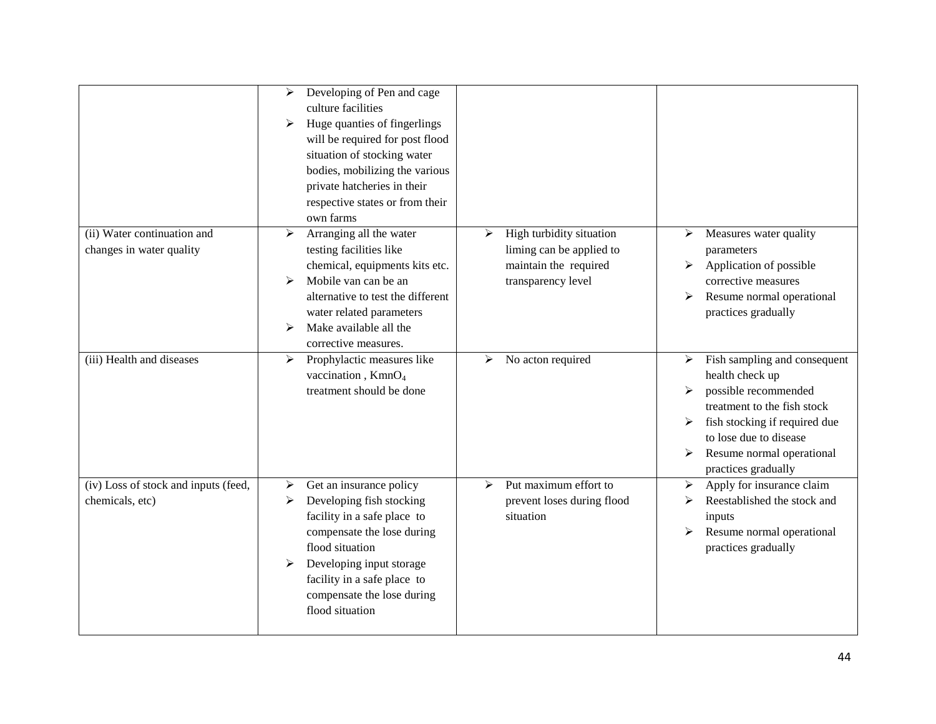|                                                         | Developing of Pen and cage<br>➤<br>culture facilities<br>Huge quanties of fingerlings<br>➤<br>will be required for post flood<br>situation of stocking water<br>bodies, mobilizing the various<br>private hatcheries in their<br>respective states or from their<br>own farms |                                                                                                          |                                                                                                                                                                                                                                           |
|---------------------------------------------------------|-------------------------------------------------------------------------------------------------------------------------------------------------------------------------------------------------------------------------------------------------------------------------------|----------------------------------------------------------------------------------------------------------|-------------------------------------------------------------------------------------------------------------------------------------------------------------------------------------------------------------------------------------------|
| (ii) Water continuation and<br>changes in water quality | Arranging all the water<br>≻<br>testing facilities like<br>chemical, equipments kits etc.<br>Mobile van can be an<br>➤<br>alternative to test the different<br>water related parameters<br>Make available all the<br>⋗<br>corrective measures.                                | High turbidity situation<br>≻<br>liming can be applied to<br>maintain the required<br>transparency level | Measures water quality<br>➤<br>parameters<br>Application of possible<br>➤<br>corrective measures<br>Resume normal operational<br>➤<br>practices gradually                                                                                 |
| (iii) Health and diseases                               | Prophylactic measures like<br>➤<br>vaccination, KmnO <sub>4</sub><br>treatment should be done                                                                                                                                                                                 | No acton required<br>➤                                                                                   | Fish sampling and consequent<br>≻<br>health check up<br>possible recommended<br>➤<br>treatment to the fish stock<br>fish stocking if required due<br>➤<br>to lose due to disease<br>Resume normal operational<br>➤<br>practices gradually |
| (iv) Loss of stock and inputs (feed,<br>chemicals, etc) | Get an insurance policy<br>➤<br>Developing fish stocking<br>➤<br>facility in a safe place to<br>compensate the lose during<br>flood situation<br>Developing input storage<br>facility in a safe place to<br>compensate the lose during<br>flood situation                     | Put maximum effort to<br>↘<br>prevent loses during flood<br>situation                                    | Apply for insurance claim<br>➤<br>Reestablished the stock and<br>➤<br>inputs<br>Resume normal operational<br>➤<br>practices gradually                                                                                                     |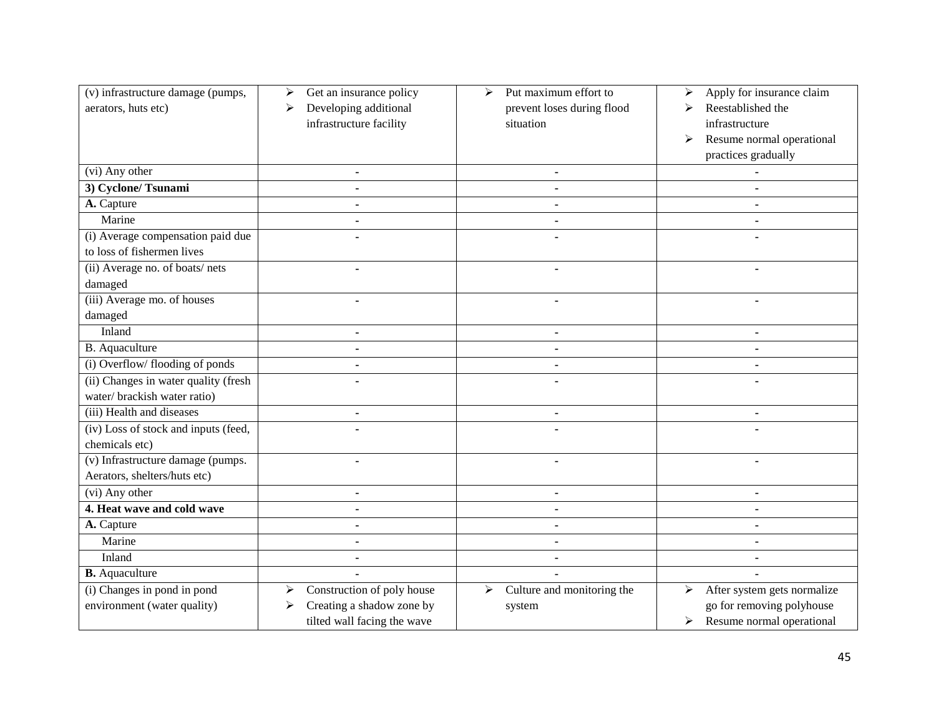| (v) infrastructure damage (pumps,<br>aerators, huts etc) | Get an insurance policy<br>➤<br>Developing additional<br>➤<br>infrastructure facility | Put maximum effort to<br>➤<br>prevent loses during flood<br>situation | Apply for insurance claim<br>➤<br>Reestablished the<br>➤<br>infrastructure<br>Resume normal operational<br>➤<br>practices gradually |
|----------------------------------------------------------|---------------------------------------------------------------------------------------|-----------------------------------------------------------------------|-------------------------------------------------------------------------------------------------------------------------------------|
| (vi) Any other                                           | $\blacksquare$                                                                        | $\blacksquare$                                                        |                                                                                                                                     |
| 3) Cyclone/Tsunami                                       |                                                                                       |                                                                       |                                                                                                                                     |
| A. Capture                                               |                                                                                       | ä,                                                                    |                                                                                                                                     |
| Marine                                                   |                                                                                       |                                                                       |                                                                                                                                     |
| (i) Average compensation paid due                        |                                                                                       |                                                                       |                                                                                                                                     |
| to loss of fishermen lives                               |                                                                                       |                                                                       |                                                                                                                                     |
| (ii) Average no. of boats/nets                           |                                                                                       |                                                                       |                                                                                                                                     |
| damaged                                                  |                                                                                       |                                                                       |                                                                                                                                     |
| (iii) Average mo. of houses                              |                                                                                       |                                                                       |                                                                                                                                     |
| damaged                                                  |                                                                                       |                                                                       |                                                                                                                                     |
| Inland                                                   |                                                                                       |                                                                       |                                                                                                                                     |
| <b>B.</b> Aquaculture                                    | $\blacksquare$                                                                        | $\blacksquare$                                                        | $\blacksquare$                                                                                                                      |
| (i) Overflow/ flooding of ponds                          |                                                                                       |                                                                       |                                                                                                                                     |
| (ii) Changes in water quality (fresh                     |                                                                                       |                                                                       |                                                                                                                                     |
| water/brackish water ratio)                              |                                                                                       |                                                                       |                                                                                                                                     |
| (iii) Health and diseases                                |                                                                                       |                                                                       |                                                                                                                                     |
| (iv) Loss of stock and inputs (feed,                     |                                                                                       |                                                                       |                                                                                                                                     |
| chemicals etc)                                           |                                                                                       |                                                                       |                                                                                                                                     |
| (v) Infrastructure damage (pumps.                        |                                                                                       |                                                                       |                                                                                                                                     |
| Aerators, shelters/huts etc)                             |                                                                                       |                                                                       |                                                                                                                                     |
| (vi) Any other                                           |                                                                                       |                                                                       |                                                                                                                                     |
| 4. Heat wave and cold wave                               |                                                                                       | $\blacksquare$                                                        |                                                                                                                                     |
| A. Capture                                               | $\blacksquare$                                                                        | ä,                                                                    | $\blacksquare$                                                                                                                      |
| Marine                                                   |                                                                                       |                                                                       |                                                                                                                                     |
| Inland                                                   |                                                                                       |                                                                       |                                                                                                                                     |
| <b>B.</b> Aquaculture                                    |                                                                                       |                                                                       |                                                                                                                                     |
| (i) Changes in pond in pond                              | Construction of poly house<br>⋗                                                       | Culture and monitoring the<br>➤                                       | After system gets normalize<br>➤                                                                                                    |
| environment (water quality)                              | Creating a shadow zone by                                                             | system                                                                | go for removing polyhouse                                                                                                           |
|                                                          | tilted wall facing the wave                                                           |                                                                       | $\triangleright$ Resume normal operational                                                                                          |